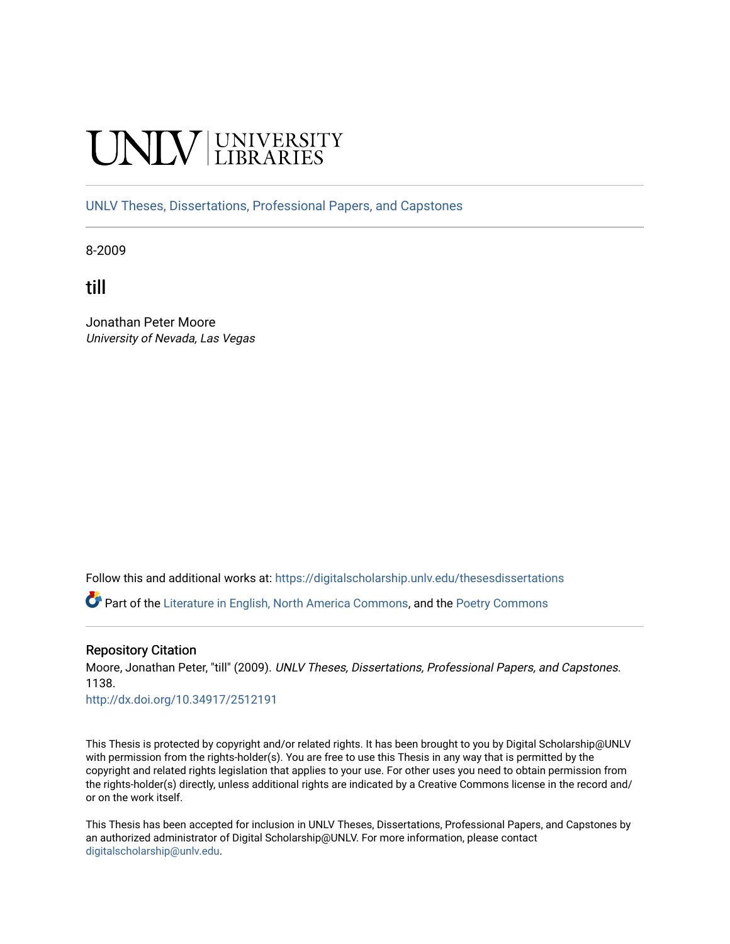# **INIVERSITY**

[UNLV Theses, Dissertations, Professional Papers, and Capstones](https://digitalscholarship.unlv.edu/thesesdissertations)

8-2009

till

Jonathan Peter Moore University of Nevada, Las Vegas

Follow this and additional works at: [https://digitalscholarship.unlv.edu/thesesdissertations](https://digitalscholarship.unlv.edu/thesesdissertations?utm_source=digitalscholarship.unlv.edu%2Fthesesdissertations%2F1138&utm_medium=PDF&utm_campaign=PDFCoverPages)

Part of the [Literature in English, North America Commons,](http://network.bepress.com/hgg/discipline/458?utm_source=digitalscholarship.unlv.edu%2Fthesesdissertations%2F1138&utm_medium=PDF&utm_campaign=PDFCoverPages) and the [Poetry Commons](http://network.bepress.com/hgg/discipline/1153?utm_source=digitalscholarship.unlv.edu%2Fthesesdissertations%2F1138&utm_medium=PDF&utm_campaign=PDFCoverPages) 

## Repository Citation

Moore, Jonathan Peter, "till" (2009). UNLV Theses, Dissertations, Professional Papers, and Capstones. 1138.

<http://dx.doi.org/10.34917/2512191>

This Thesis is protected by copyright and/or related rights. It has been brought to you by Digital Scholarship@UNLV with permission from the rights-holder(s). You are free to use this Thesis in any way that is permitted by the copyright and related rights legislation that applies to your use. For other uses you need to obtain permission from the rights-holder(s) directly, unless additional rights are indicated by a Creative Commons license in the record and/ or on the work itself.

This Thesis has been accepted for inclusion in UNLV Theses, Dissertations, Professional Papers, and Capstones by an authorized administrator of Digital Scholarship@UNLV. For more information, please contact [digitalscholarship@unlv.edu](mailto:digitalscholarship@unlv.edu).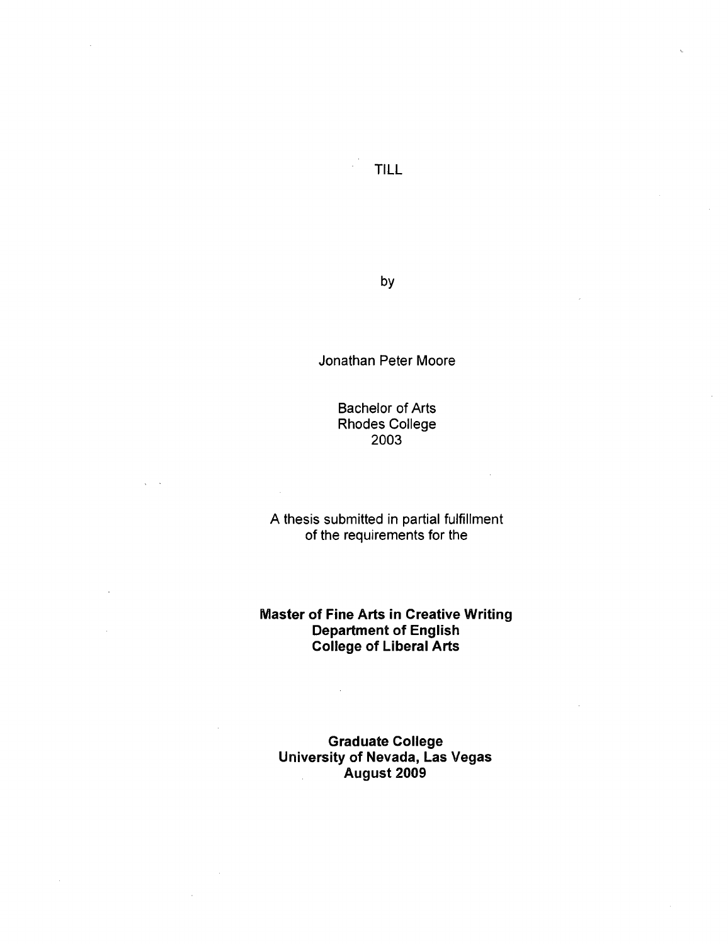by

Jonathan Peter Moore

Bachelor of Arts Rhodes College 2003

A thesis submitted in partial fulfillment of the requirements for the

**Master of Fine Arts in Creative Writing Department of English College of Liberal Arts** 

**Graduate College University of Nevada, Las Vegas August 2009**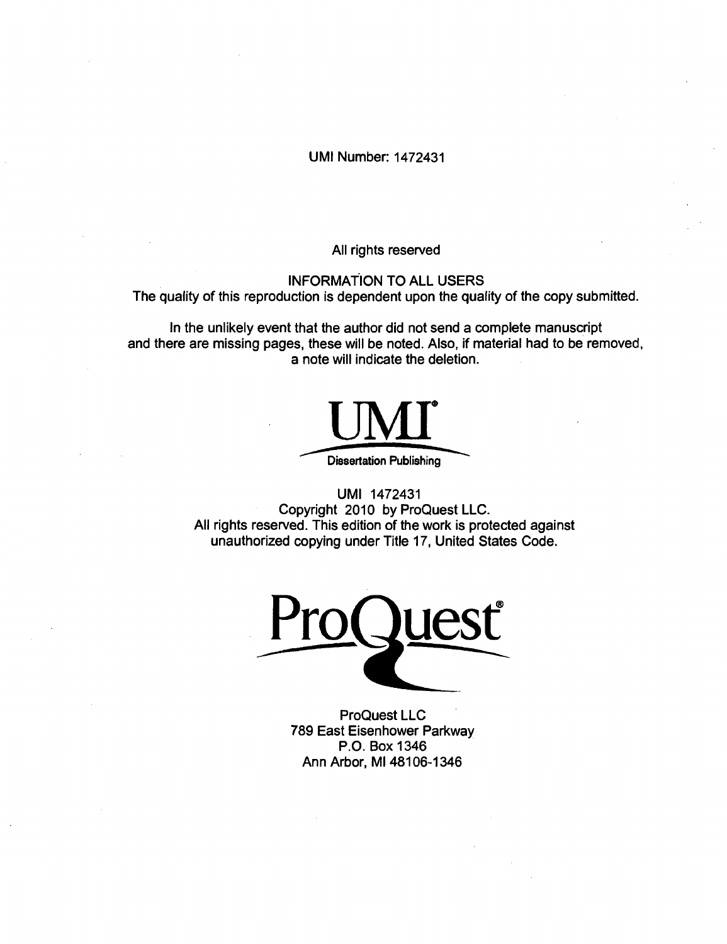UMI Number: 1472431

All rights reserved

INFORMATION TO ALL USERS The quality of this reproduction is dependent upon the quality of the copy submitted.

In the unlikely event that the author did not send a complete manuscript and there are missing pages, these will be noted. Also, if material had to be removed, a note will indicate the deletion.



UMI 1472431 Copyright 2010 by ProQuest LLC. All rights reserved. This edition of the work is protected against unauthorized copying under Title 17, United States Code.

Pro Quest  $\overline{\phantom{a}}$ 

ProQuest LLC 789 East Eisenhower Parkway P.O. Box 1346 Ann Arbor, Ml 48106-1346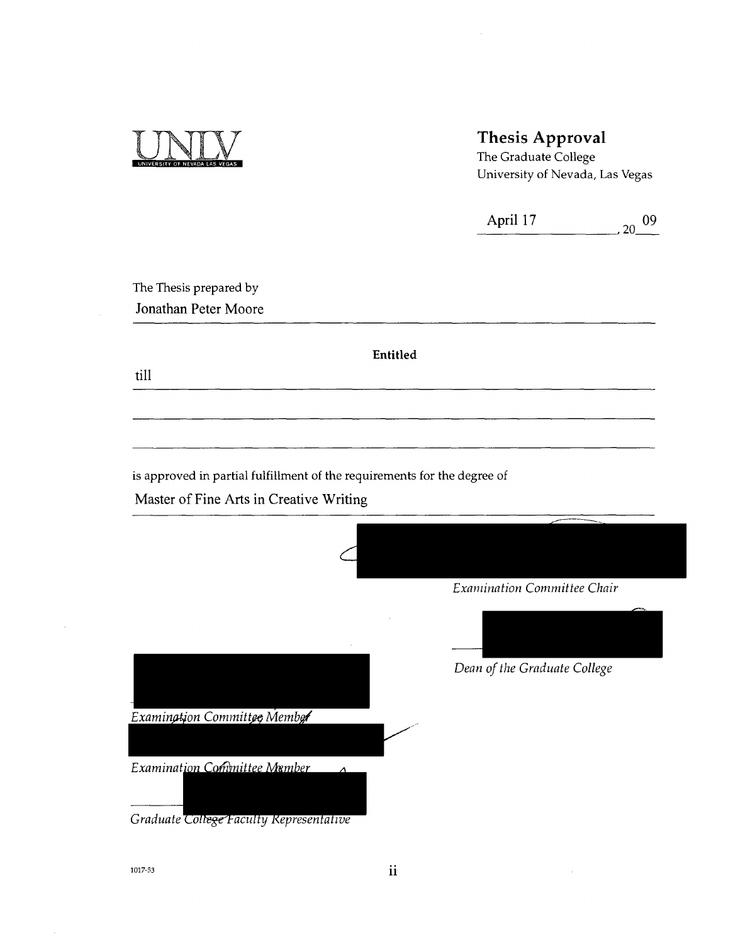

## Thesis Approval

The Graduate College University of Nevada, Las Vegas

| April 17 | 09 |
|----------|----|
|          |    |

The Thesis prepared by **Jonathan Peter Moore** 

**Entitled** 

**till** 

is approved in partial fulfillment of the requirements for the degree of

**Master of Fine Arts in Creative Writing** 

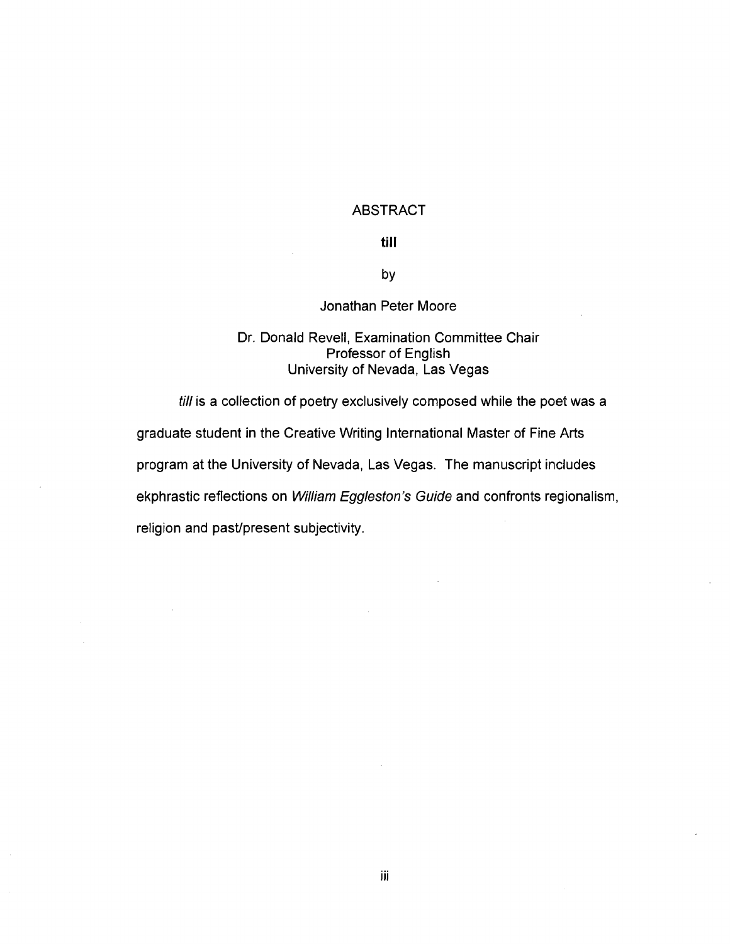## ABSTRACT

## **till**

by

## Jonathan Peter Moore

## Dr. Donald Revell, Examination Committee Chair Professor of English<br>University of Nevada, Las Vegas

program at the University of Nevada, Las Vegas. The manuscript includes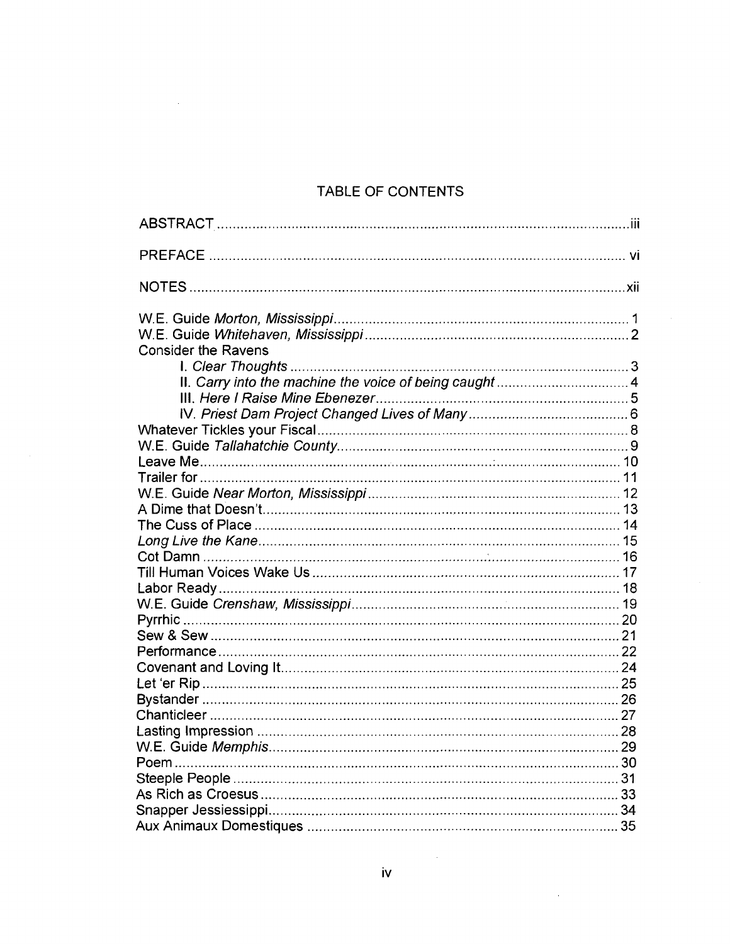## TABLE OF CONTENTS

 $\sim$ 

| <b>Consider the Ravens</b> |  |
|----------------------------|--|
|                            |  |
|                            |  |
|                            |  |
|                            |  |
|                            |  |
|                            |  |
|                            |  |
|                            |  |
|                            |  |
|                            |  |
|                            |  |
|                            |  |
|                            |  |
|                            |  |
|                            |  |
|                            |  |
|                            |  |
|                            |  |
|                            |  |
|                            |  |
|                            |  |
|                            |  |
|                            |  |
|                            |  |
|                            |  |
|                            |  |
|                            |  |
|                            |  |
|                            |  |

**IV** 

 $\sim$ 

 $\bar{z}$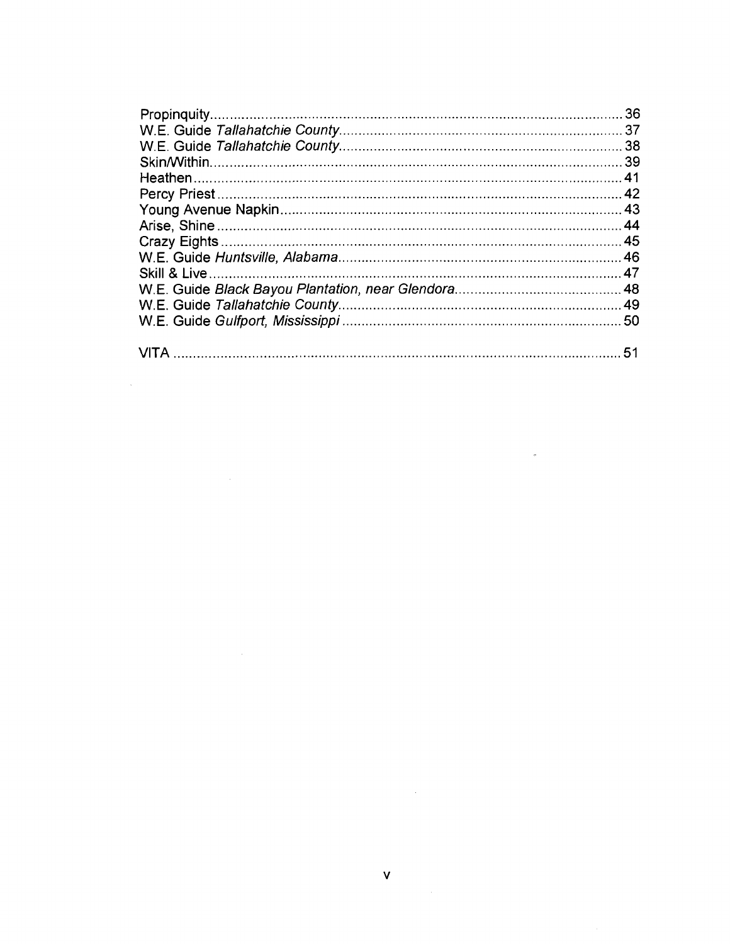v<br>V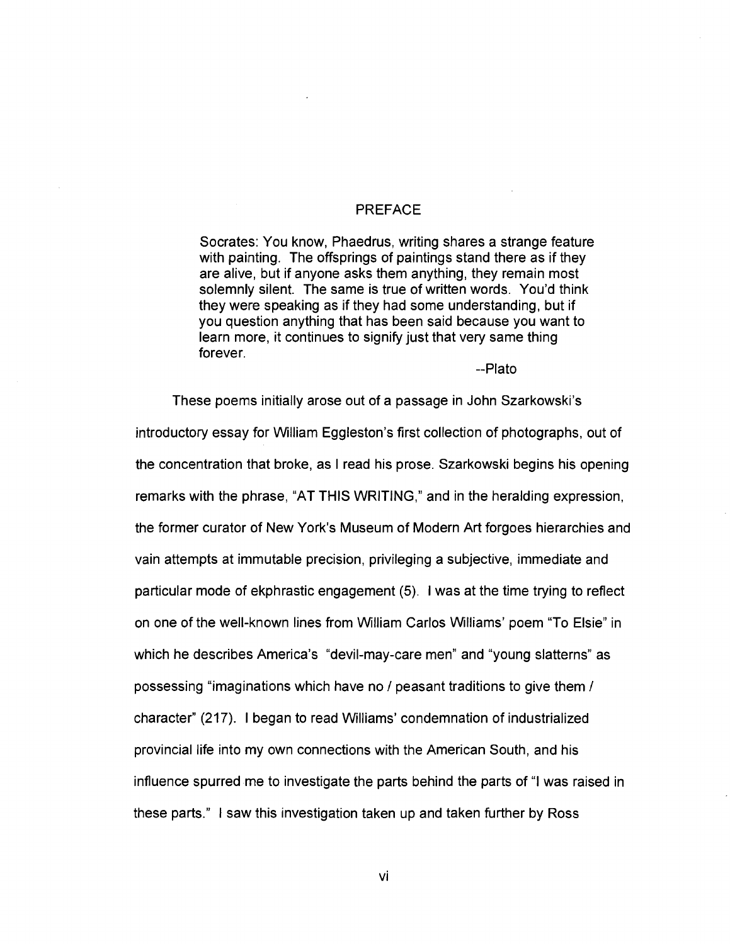## PREFACE

Socrates: You know, Phaedrus, writing shares a strange feature with painting. The offsprings of paintings stand there as if they are alive, but if anyone asks them anything, they remain most solemnly silent. The same is true of written words. You'd think they were speaking as if they had some understanding, but if you question anything that has been said because you want to learn more, it continues to signify just that very same thing forever.

-Plato

These poems initially arose out of a passage in John Szarkowski's introductory essay for William Eggleston's first collection of photographs, out of the concentration that broke, as I read his prose. Szarkowski begins his opening remarks with the phrase, "AT THIS WRITING," and in the heralding expression, the former curator of New York's Museum of Modern Art forgoes hierarchies and vain attempts at immutable precision, privileging a subjective, immediate and particular mode of ekphrastic engagement (5). I was at the time trying to reflect on one of the well-known lines from William Carlos Williams' poem "To Elsie" in which he describes America's "devil-may-care men" and "young slatterns" as possessing "imaginations which have no / peasant traditions to give them / character" (217). I began to read Williams' condemnation of industrialized provincial life into my own connections with the American South, and his influence spurred me to investigate the parts behind the parts of "I was raised in these parts." I saw this investigation taken up and taken further by Ross

**VI**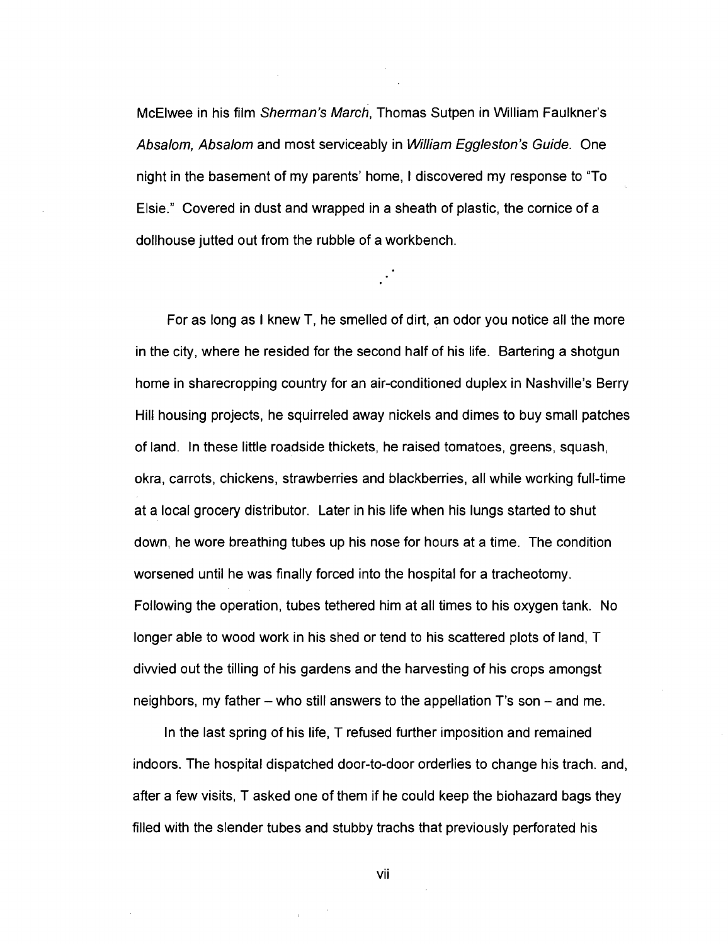McElwee in his film Sherman's March, Thomas Sutpen in William Faulkner's Absalom, Absalom and most serviceably in William Eggleston's Guide. One night in the basement of my parents' home, I discovered my response to "To Elsie." Covered in dust and wrapped in a sheath of plastic, the cornice of a dollhouse jutted out from the rubble of a workbench.

For as long as I knew T, he smelled of dirt, an odor you notice all the more in the city, where he resided for the second half of his life. Bartering a shotgun home in sharecropping country for an air-conditioned duplex in Nashville's Berry Hill housing projects, he squirreled away nickels and dimes to buy small patches of land. In these little roadside thickets, he raised tomatoes, greens, squash, okra, carrots, chickens, strawberries and blackberries, all while working full-time at a local grocery distributor. Later in his life when his lungs started to shut down, he wore breathing tubes up his nose for hours at a time. The condition worsened until he was finally forced into the hospital for a tracheotomy. Following the operation, tubes tethered him at all times to his oxygen tank. No longer able to wood work in his shed or tend to his scattered plots of land, T divvied out the tilling of his gardens and the harvesting of his crops amongst neighbors, my father  $-$  who still answers to the appellation T's son  $-$  and me.

In the last spring of his life, T refused further imposition and remained indoors. The hospital dispatched door-to-door orderlies to change his trach. and, after a few visits, T asked one of them if he could keep the biohazard bags they filled with the slender tubes and stubby trachs that previously perforated his

VII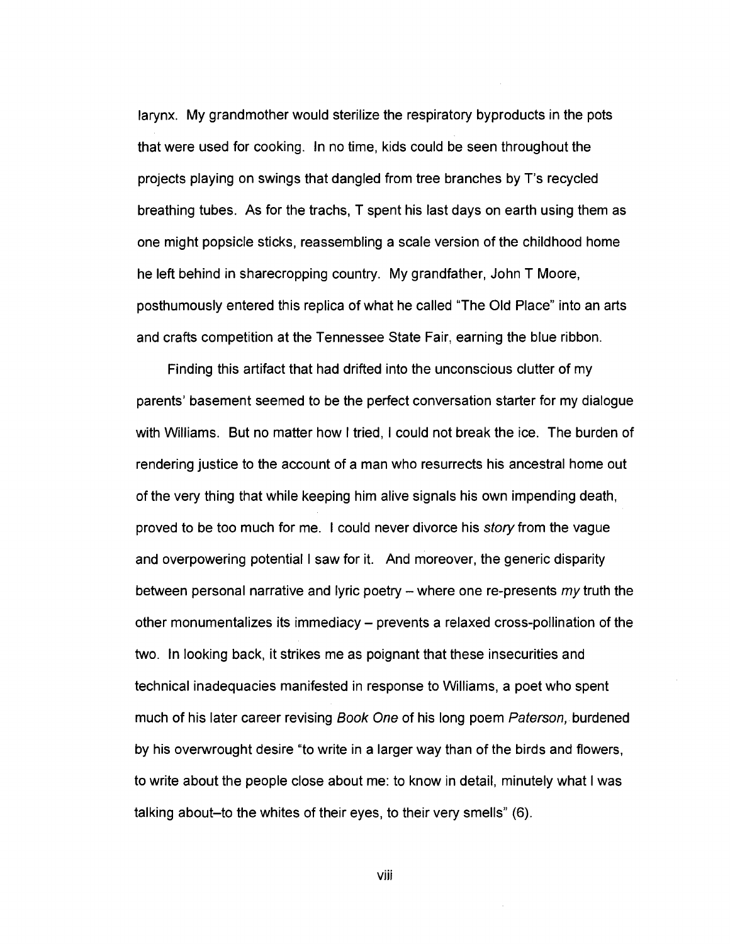larynx. My grandmother would sterilize the respiratory byproducts in the pots that were used for cooking. In no time, kids could be seen throughout the projects playing on swings that dangled from tree branches by T's recycled breathing tubes. As for the trachs, T spent his last days on earth using them as one might popsicle sticks, reassembling a scale version of the childhood home he left behind in sharecropping country. My grandfather, John T Moore, posthumously entered this replica of what he called "The Old Place" into an arts and crafts competition at the Tennessee State Fair, earning the blue ribbon.

Finding this artifact that had drifted into the unconscious clutter of my parents' basement seemed to be the perfect conversation starter for my dialogue with Williams. But no matter how I tried, I could not break the ice. The burden of rendering justice to the account of a man who resurrects his ancestral home out of the very thing that while keeping him alive signals his own impending death, proved to be too much for me. I could never divorce his story from the vague and overpowering potential I saw for it. And moreover, the generic disparity between personal narrative and lyric poetry  $-$  where one re-presents  $m\gamma$  truth the other monumentalizes its immediacy - prevents a relaxed cross-pollination of the two. In looking back, it strikes me as poignant that these insecurities and technical inadequacies manifested in response to Williams, a poet who spent much of his later career revising Book One of his long poem Paterson, burdened by his overwrought desire "to write in a larger way than of the birds and flowers, to write about the people close about me: to know in detail, minutely what I was talking about-to the whites of their eyes, to their very smells" (6).

viii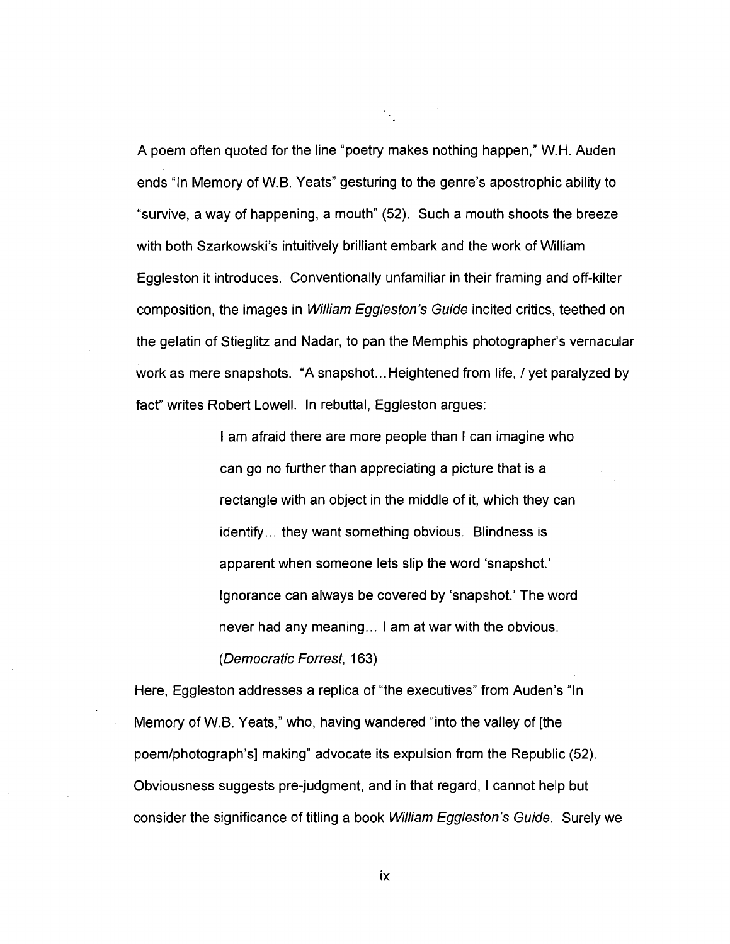A poem often quoted for the line "poetry makes nothing happen," W.H. Auden ends "In Memory of W.B. Yeats" gesturing to the genre's apostrophic ability to "survive, a way of happening, a mouth" (52). Such a mouth shoots the breeze with both Szarkowski's intuitively brilliant embark and the work of William Eggleston it introduces. Conventionally unfamiliar in their framing and off-kilter composition, the images in *William Eggleston's Guide* incited critics, teethed on the gelatin of Stieglitz and Nadar, to pan the Memphis photographer's vernacular work as mere snapshots. "A snapshot...Heightened from life, / yet paralyzed by fact" writes Robert Lowell. In rebuttal, Eggleston argues:

 $\mathcal{C}_{\mathbf{a},\mathbf{b}}$ 

I am afraid there are more people than I can imagine who can go no further than appreciating a picture that is a rectangle with an object in the middle of it, which they can identify... they want something obvious. Blindness is apparent when someone lets slip the word 'snapshot.' Ignorance can always be covered by 'snapshot.' The word never had any meaning... I am at war with the obvious. (Democratic Forrest, 163)

Here, Eggleston addresses a replica of "the executives" from Auden's "In Memory of W.B. Yeats," who, having wandered "into the valley of [the poem/photograph's] making" advocate its expulsion from the Republic (52). Obviousness suggests pre-judgment, and in that regard, I cannot help but consider the significance of titling a book William Eggleston's Guide. Surely we

ix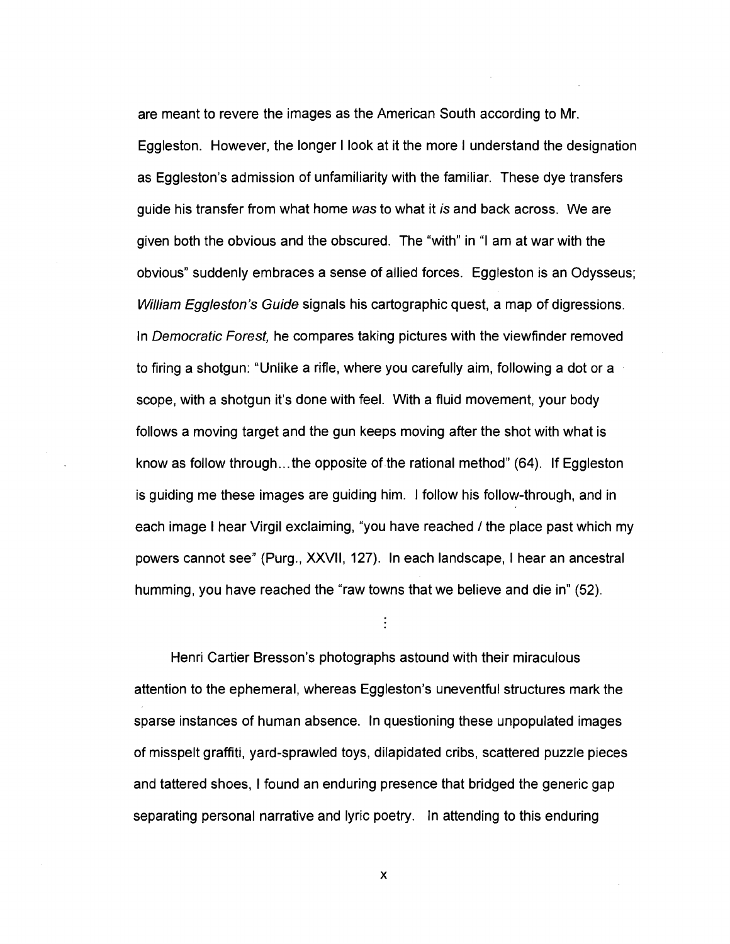are meant to revere the images as the American South according to Mr. Eggleston. However, the longer I look at it the more I understand the designation as Eggleston's admission of unfamiliarity with the familiar. These dye transfers guide his transfer from what home was to what it is and back across. We are given both the obvious and the obscured. The "with" in "I am at war with the obvious" suddenly embraces a sense of allied forces. Eggleston is an Odysseus; William Eggleston's Guide signals his cartographic quest, a map of digressions. In Democratic Forest, he compares taking pictures with the viewfinder removed to firing a shotgun: "Unlike a rifle, where you carefully aim, following a dot or a scope, with a shotgun it's done with feel. With a fluid movement, your body follows a moving target and the gun keeps moving after the shot with what is know as follow through...the opposite of the rational method" (64). If Eggleston is guiding me these images are guiding him. I follow his follow-through, and in each image I hear Virgil exclaiming, "you have reached / the place past which my powers cannot see" (Purg., XXVII, 127). In each landscape, I hear an ancestral humming, you have reached the "raw towns that we believe and die in" (52).

Henri Cartier Bresson's photographs astound with their miraculous attention to the ephemeral, whereas Eggleston's uneventful structures mark the sparse instances of human absence. In questioning these unpopulated images of misspelt graffiti, yard-sprawled toys, dilapidated cribs, scattered puzzle pieces and tattered shoes, I found an enduring presence that bridged the generic gap separating personal narrative and lyric poetry. In attending to this enduring

x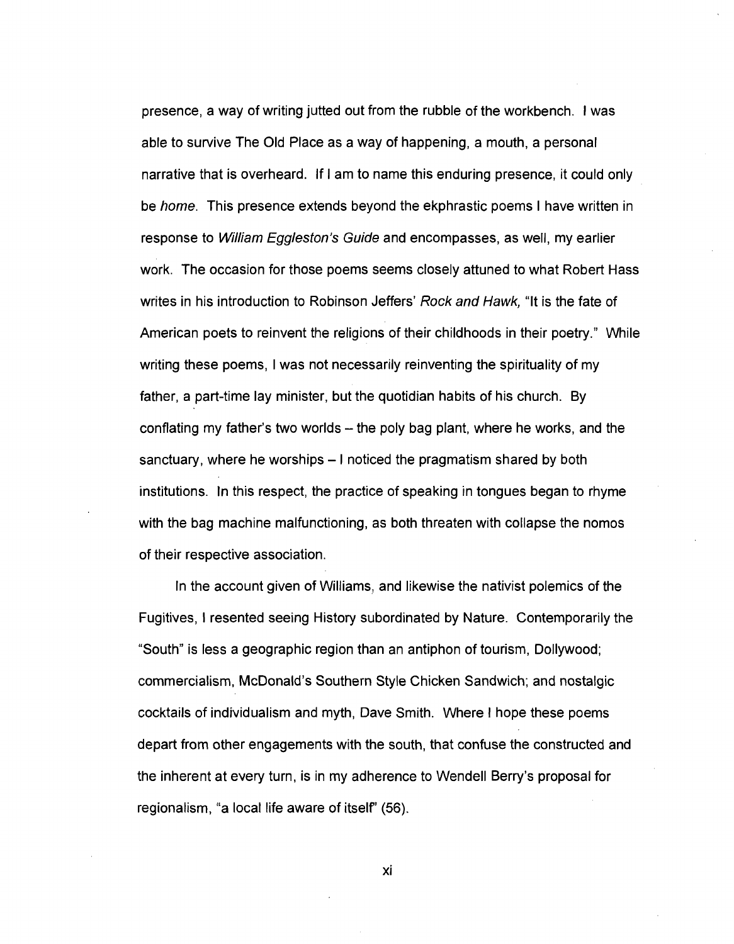presence, a way of writing jutted out from the rubble of the workbench. I was able to survive The Old Place as a way of happening, a mouth, a personal narrative that is overheard. If I am to name this enduring presence, it could only be home. This presence extends beyond the ekphrastic poems I have written in response to *William Eggleston's Guide* and encompasses, as well, my earlier work. The occasion for those poems seems closely attuned to what Robert Hass writes in his introduction to Robinson Jeffers' Rock and Hawk, "It is the fate of American poets to reinvent the religions of their childhoods in their poetry." While writing these poems, I was not necessarily reinventing the spirituality of my father, a part-time lay minister, but the quotidian habits of his church. By conflating my father's two worlds – the poly bag plant, where he works, and the sanctuary, where he worships – I noticed the pragmatism shared by both institutions. In this respect, the practice of speaking in tongues began to rhyme with the bag machine malfunctioning, as both threaten with collapse the nomos of their respective association.

In the account given of Williams, and likewise the nativist polemics of the Fugitives, I resented seeing History subordinated by Nature. Contemporarily the "South" is less a geographic region than an antiphon of tourism, Dollywood; commercialism, McDonald's Southern Style Chicken Sandwich; and nostalgic cocktails of individualism and myth, Dave Smith. Where I hope these poems depart from other engagements with the south, that confuse the constructed and the inherent at every turn, is in my adherence to Wendell Berry's proposal for regionalism, "a local life aware of itself" (56).

**XI**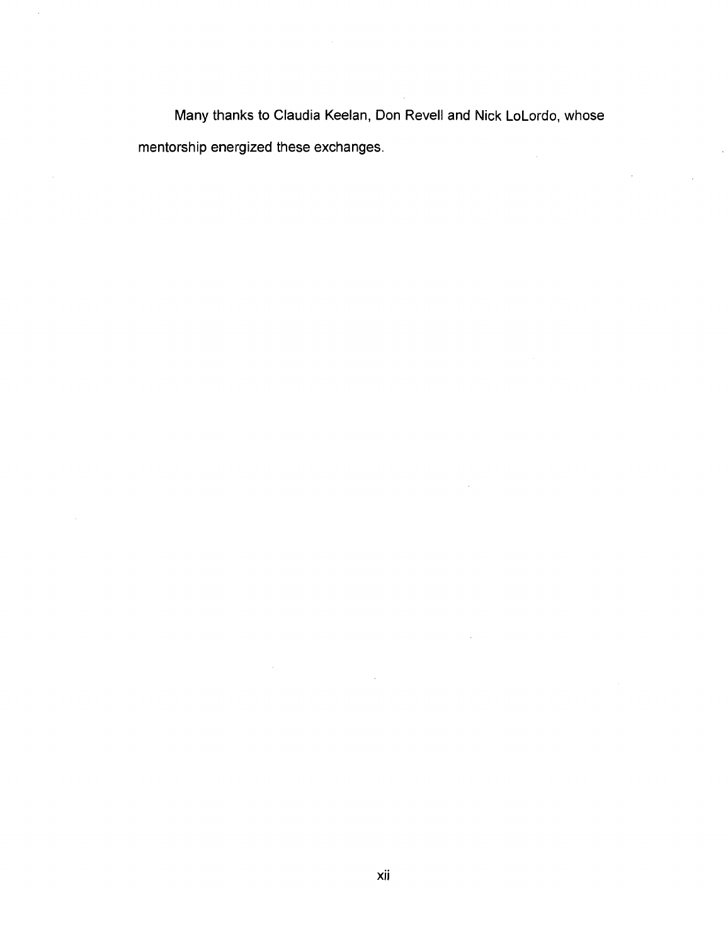Many thanks to Claudia Keelan, Don Revell and Nick LoLordo, whose mentorship energized these exchanges.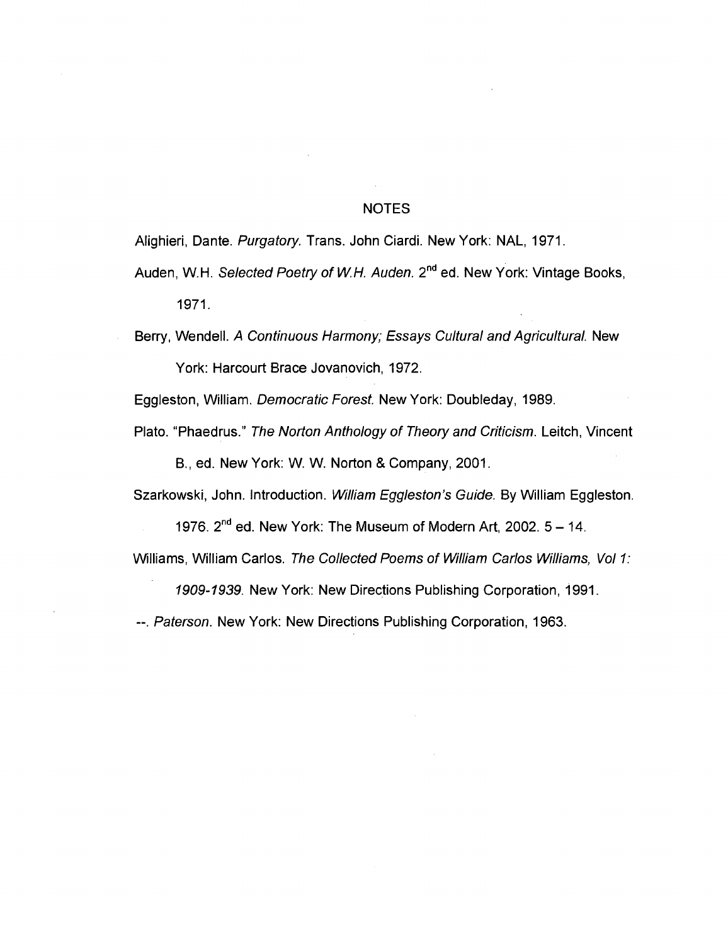## NOTES

Alighieri, Dante. Purgatory. Trans. John Ciardi. New York: NAL, 1971.

Auden, W.H. *Selected Poetry of W.H. Auden.* 2<sup>nd</sup> ed. New York: Vintage Books, 1971.

Berry, Wendell. A Continuous Harmony; Essays Cultural and Agricultural. New York: Harcourt Brace Jovanovich, 1972.

Eggleston, William. Democratic Forest. New York: Doubleday, 1989.

Plato. "Phaedrus." The Norton Anthology of Theory and Criticism. Leitch, Vincent B., ed. New York: W. W. Norton & Company, 2001.

Szarkowski, John. Introduction. William Eggleston's Guide. By William Eggleston.

1976. 2<sup>nd</sup> ed. New York: The Museum of Modern Art, 2002. 5 – 14. Williams, William Carlos. The Collected Poems of William Carlos Williams, Vol 1:

1909-1939. New York: New Directions Publishing Corporation, 1991.

--. Paterson. New York: New Directions Publishing Corporation, 1963.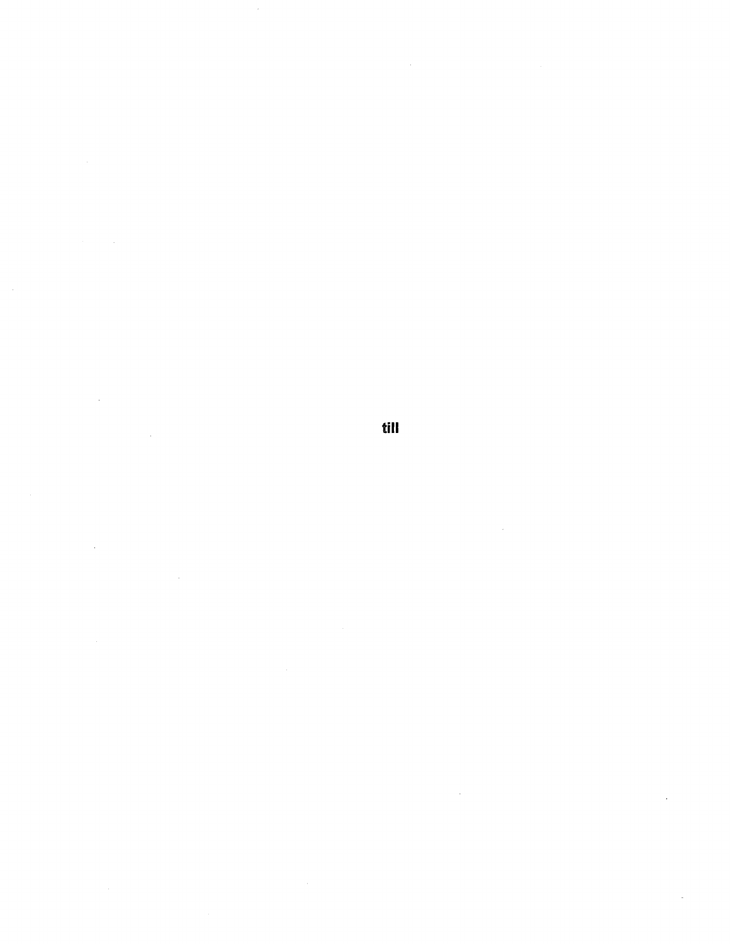**till** 

 $\sim$ 

 $\sim 10^{11}$ 

 $\bar{z}$ 

 $\sim$ 

 $\sim 10^6$ 

 $\sim$ 

 $\mathcal{A}^{\text{max}}_{\text{max}}$ 

 $\sim$   $\sim$ 

 $\mathcal{A}$ 

 $\mathcal{A}^{\mathcal{A}}$ 

 $\sim$   $\sim$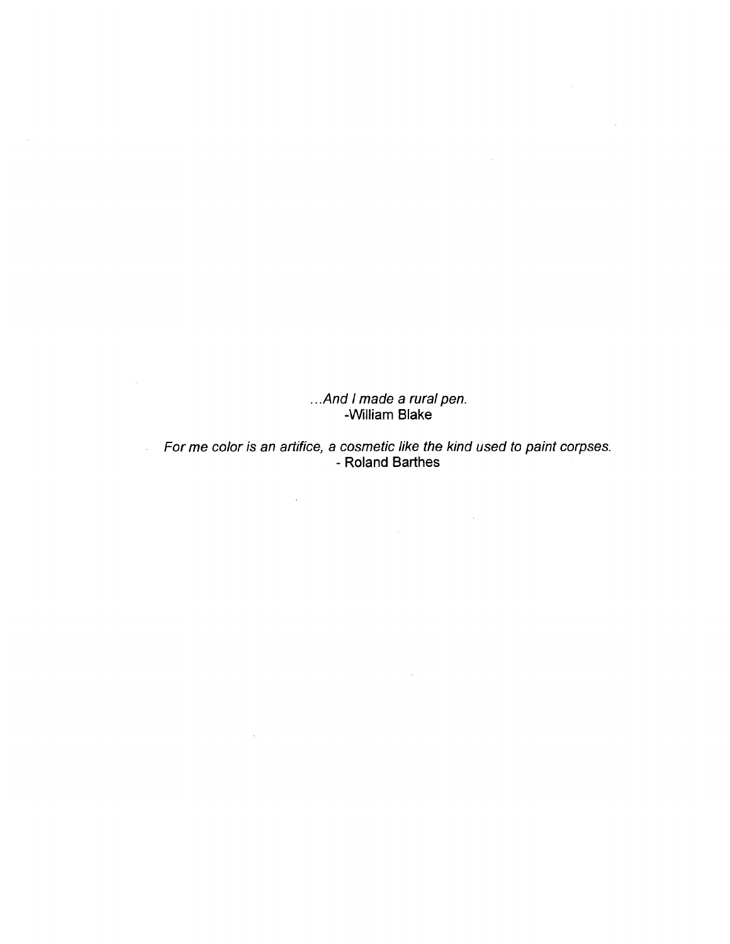.. And I made a rural pen. -William Blake

 $\sim$   $\sim$ 

 $\sim$ 

For me color is an artifice, a cosmetic like the kind used to paint corpses. - Roland Barthes

 $\label{eq:2.1} \begin{split} \frac{1}{\sqrt{2\pi}}\frac{1}{\sqrt{2\pi}}\frac{1}{\sqrt{2\pi}}\frac{1}{\sqrt{2\pi}}\frac{1}{\sqrt{2\pi}}\frac{1}{\sqrt{2\pi}}\frac{1}{\sqrt{2\pi}}\frac{1}{\sqrt{2\pi}}\frac{1}{\sqrt{2\pi}}\frac{1}{\sqrt{2\pi}}\frac{1}{\sqrt{2\pi}}\frac{1}{\sqrt{2\pi}}\frac{1}{\sqrt{2\pi}}\frac{1}{\sqrt{2\pi}}\frac{1}{\sqrt{2\pi}}\frac{1}{\sqrt{2\pi}}\frac{1}{\sqrt{2\pi}}\frac$ 

 $\label{eq:2.1} \begin{split} \mathcal{L}_{\text{max}}(\mathcal{L}_{\text{max}}) = \mathcal{L}_{\text{max}}(\mathcal{L}_{\text{max}}) \,, \end{split}$ 

 $\mathcal{L}(\mathcal{L}^{\text{max}}_{\mathcal{L}})$  , where  $\mathcal{L}^{\text{max}}_{\mathcal{L}}$ 

 $\mathcal{L}(\mathcal{A})$  and  $\mathcal{L}(\mathcal{A})$  .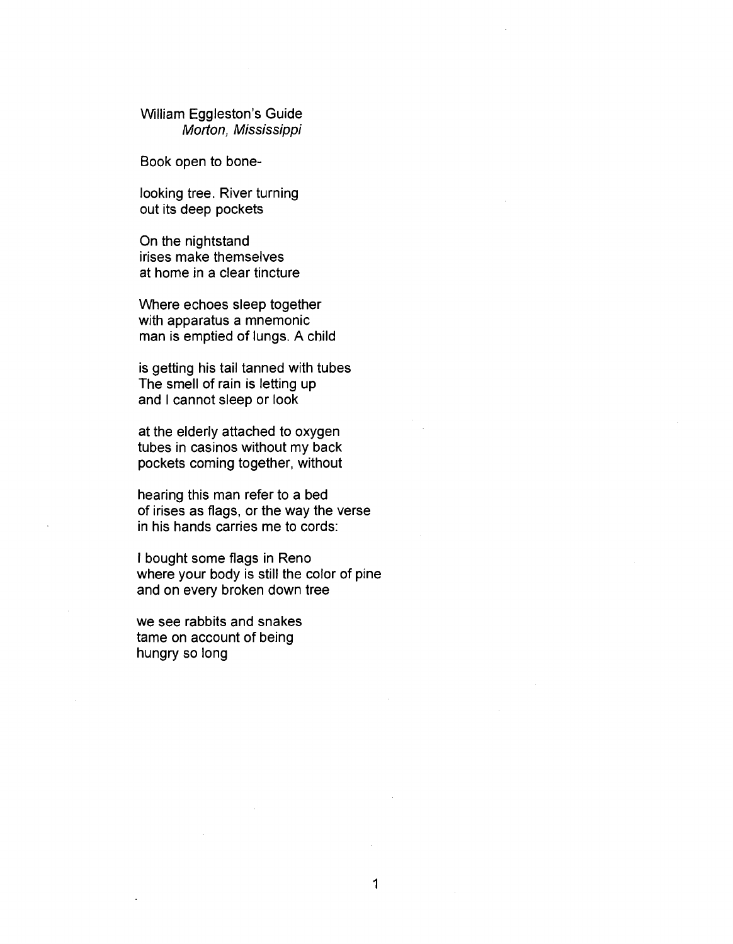William Eggleston's Guide Morton, Mississippi

Book open to bone-

looking tree. River turning out its deep pockets

On the nightstand irises make themselves at home in a clear tincture

Where echoes sleep together with apparatus a mnemonic man is emptied of lungs. A child

is getting his tail tanned with tubes The smell of rain is letting up and I cannot sleep or look

at the elderly attached to oxygen tubes in casinos without my back pockets coming together, without

hearing this man refer to a bed of irises as flags, or the way the verse in his hands carries me to cords:

I bought some flags in Reno where your body is still the color of pine and on every broken down tree

we see rabbits and snakes tame on account of being hungry so long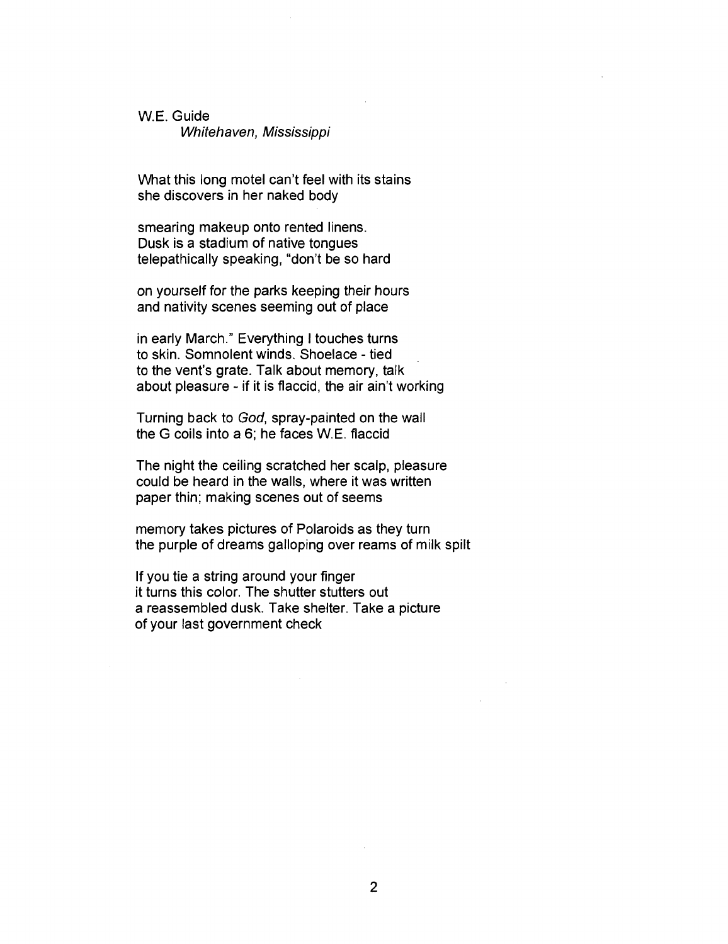## W.E. Guide

Whitehaven, Mississippi

What this long motel can't feel with its stains she discovers in her naked body

smearing makeup onto rented linens. Dusk is a stadium of native tongues telepathically speaking, "don't be so hard

on yourself for the parks keeping their hours and nativity scenes seeming out of place

in early March." Everything I touches turns to skin. Somnolent winds. Shoelace - tied to the vent's grate. Talk about memory, talk about pleasure - if it is flaccid, the air ain't working

Turning back to God, spray-painted on the wall the G coils into a 6; he faces W.E. flaccid

The night the ceiling scratched her scalp, pleasure could be heard in the walls, where it was written paper thin; making scenes out of seems

memory takes pictures of Polaroids as they turn the purple of dreams galloping over reams of milk spilt

If you tie a string around your finger it turns this color. The shutter stutters out a reassembled dusk. Take shelter. Take a picture of your last government check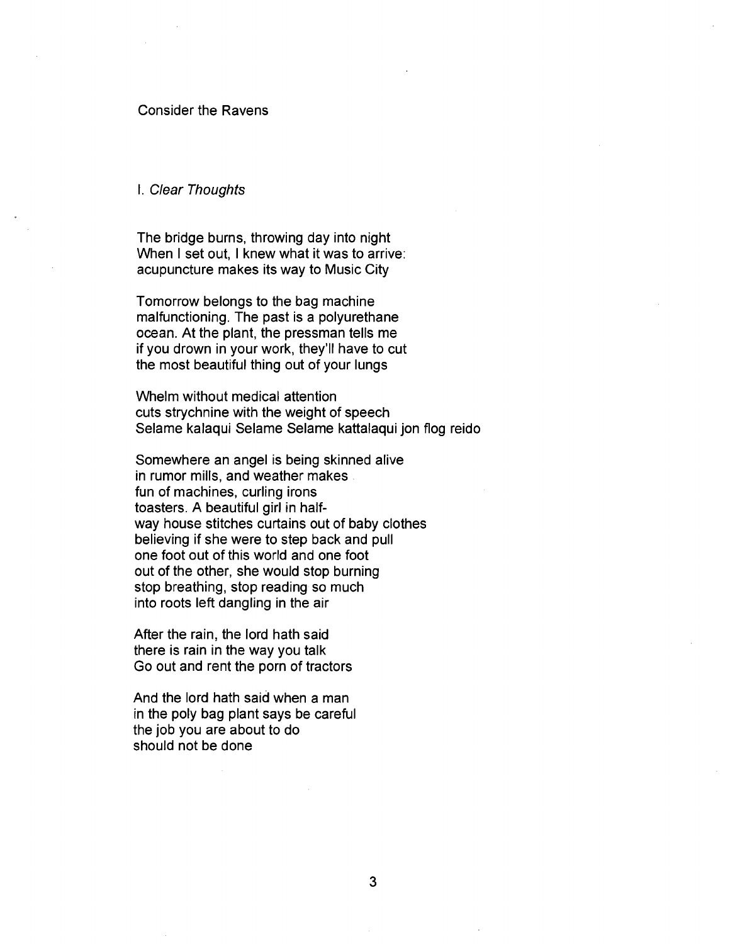#### Consider the Ravens

#### I. Clear Thoughts

The bridge burns, throwing day into night When I set out, I knew what it was to arrive: acupuncture makes its way to Music City

Tomorrow belongs to the bag machine malfunctioning. The past is a polyurethane ocean. At the plant, the pressman tells me if you drown in your work, they'll have to cut the most beautiful thing out of your lungs

Whelm without medical attention cuts strychnine with the weight of speech Selame kalaqui Selame Selame kattalaqui jon flog reido

Somewhere an angel is being skinned alive in rumor mills, and weather makes fun of machines, curling irons toasters. A beautiful girl in halfway house stitches curtains out of baby clothes believing if she were to step back and pull one foot out of this world and one foot out of the other, she would stop burning stop breathing, stop reading so much into roots left dangling in the air

After the rain, the lord hath said there is rain in the way you talk Go out and rent the porn of tractors

And the lord hath said when a man in the poly bag plant says be careful the job you are about to do should not be done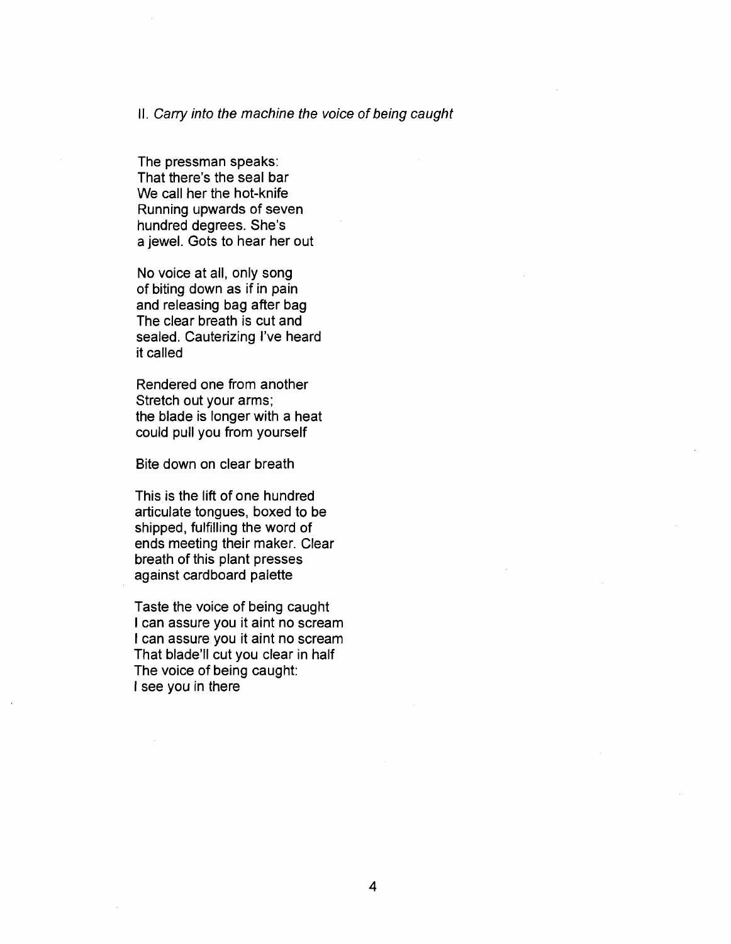#### II. Carry into the machine the voice of being caught

The pressman speaks: That there's the seal bar We call her the hot-knife Running upwards of seven hundred degrees. She's a jewel. Gots to hear her out

No voice at all, only song of biting down as if in pain and releasing bag after bag The clear breath is cut and sealed. Cauterizing I've heard it called

Rendered one from another Stretch out your arms; the blade is longer with a heat could pull you from yourself

Bite down on clear breath

This is the lift of one hundred articulate tongues, boxed to be shipped, fulfilling the word of ends meeting their maker. Clear breath of this plant presses against cardboard palette

Taste the voice of being caught I can assure you it aint no scream I can assure you it aint no scream That blade'll cut you clear in half The voice of being caught: I see you in there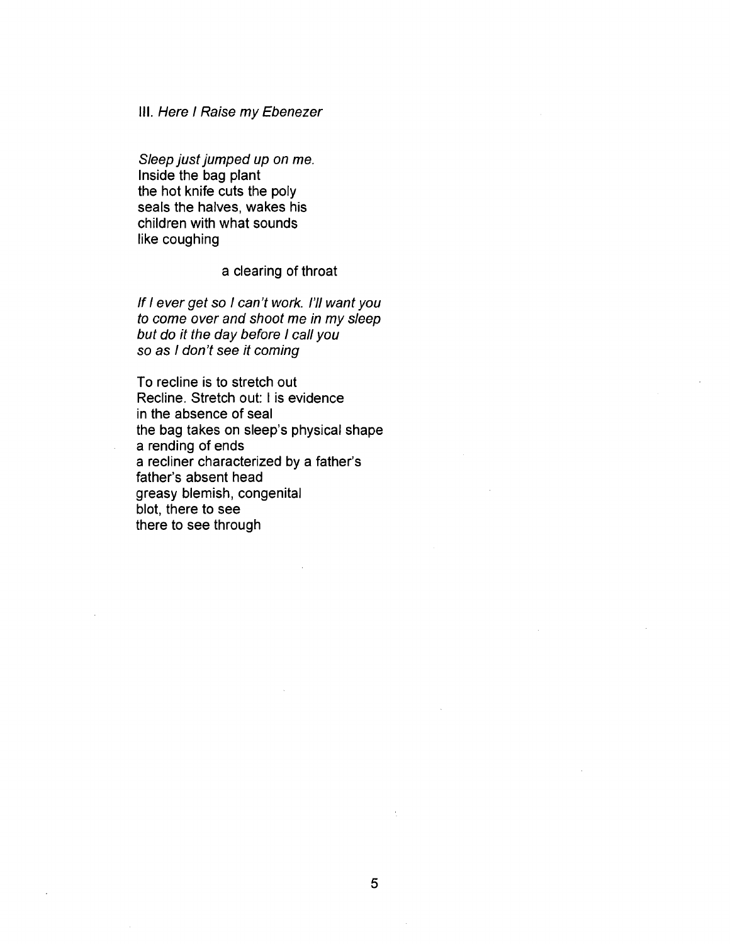#### III. Here I Raise my Ebenezer

Sleep just jumped up on me. Inside the bag plant the hot knife cuts the poly seals the halves, wakes his children with what sounds like coughing

## a clearing of throat

If I ever get so I can't work. I'll want you to come over and shoot me in my sleep but do it the day before I call you so as I don't see it coming

To recline is to stretch out Recline. Stretch out: I is evidence in the absence of seal the bag takes on sleep's physical shape a rending of ends a recliner characterized by a father's father's absent head greasy blemish, congenital blot, there to see there to see through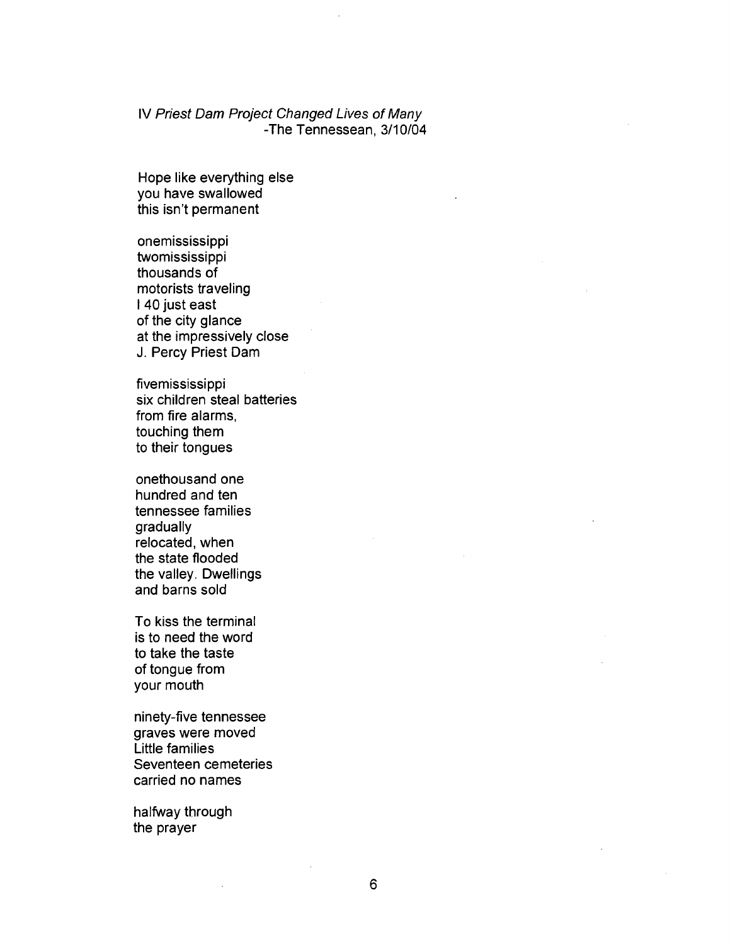## IV Priest Dam Project Changed Lives of Many -The Tennessean, 3/10/04

Hope like everything else you have swallowed this isn't permanent

onemississippi twomississippi thousands of motorists traveling I 40 just east of the city glance at the impressively close J. Percy Priest Dam

fivemississippi six children steal batteries from fire alarms, touching them to their tongues

onethousand one hundred and ten tennessee families gradually relocated, when the state flooded the valley. Dwellings and barns sold

To kiss the terminal is to need the word to take the taste of tongue from your mouth

ninety-five tennessee graves were moved Little families Seventeen cemeteries carried no names

halfway through the prayer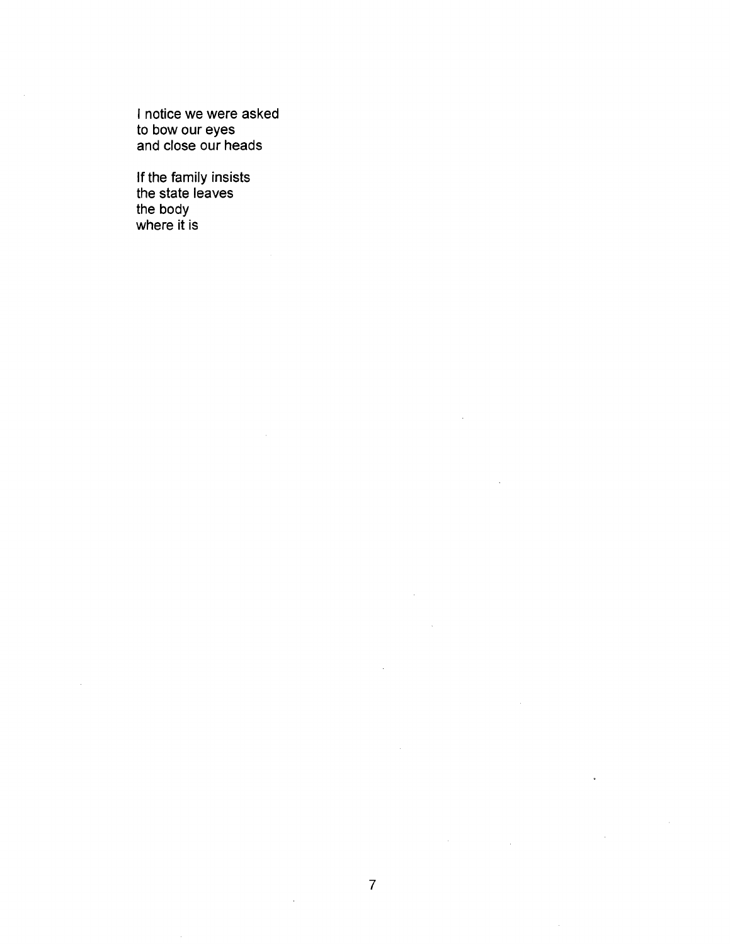I notice we were asked to bow our eyes and close our heads

If the family insists the state leaves the body where it is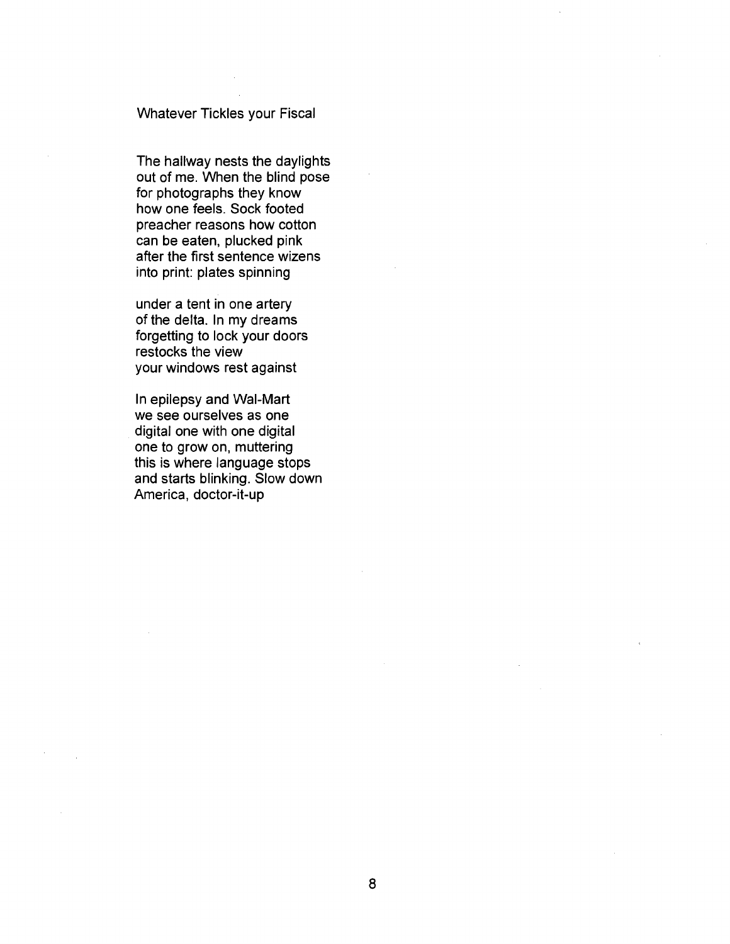## Whatever Tickles your Fiscal

The hallway nests the daylights out of me. When the blind pose for photographs they know how one feels. Sock footed preacher reasons how cotton can be eaten, plucked pink after the first sentence wizens into print: plates spinning

under a tent in one artery of the delta. In my dreams forgetting to lock your doors restocks the view your windows rest against

In epilepsy and Wal-Mart we see ourselves as one digital one with one digital one to grow on, muttering this is where language stops and starts blinking. Slow down America, doctor-it-up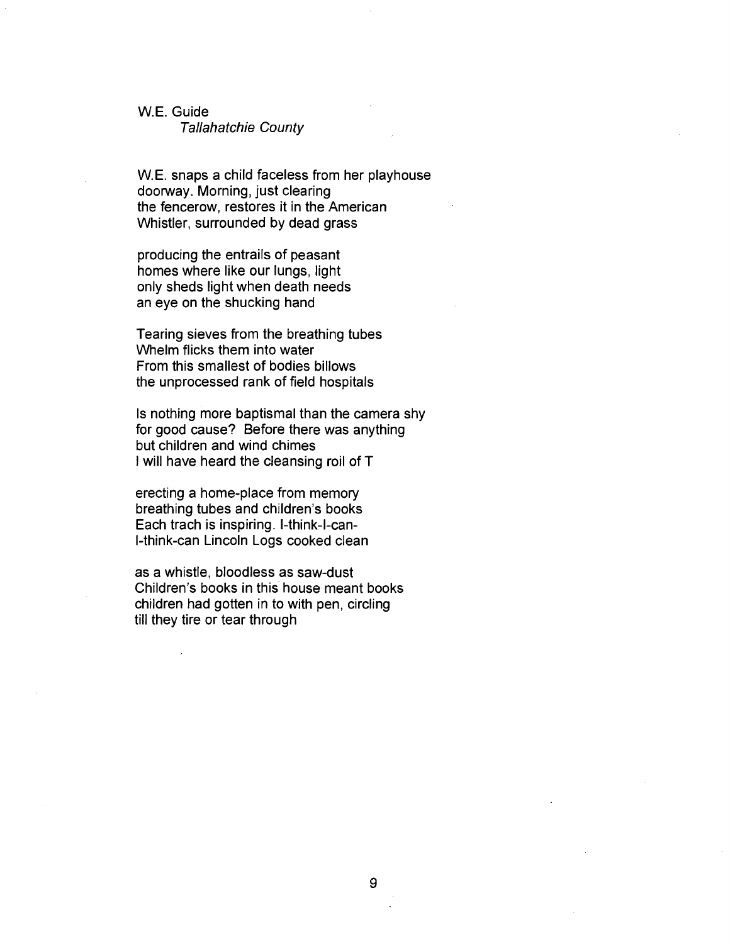#### W.E. Guide

#### Tallahatchie County

W.E. snaps a child faceless from her playhouse doorway. Morning, just clearing the fencerow, restores it in the American Whistler, surrounded by dead grass

producing the entrails of peasant homes where like our lungs, light only sheds light when death needs an eye on the shucking hand

Tearing sieves from the breathing tubes Whelm flicks them into water From this smallest of bodies billows the unprocessed rank of field hospitals

Is nothing more baptismal than the camera shy for good cause? Before there was anything but children and wind chimes I will have heard the cleansing roil of T

erecting a home-place from memory breathing tubes and children's books Each trach is inspiring, l-think-l-canl-think-can Lincoln Logs cooked clean

as a whistle, bloodless as saw-dust Children's books in this house meant books children had gotten in to with pen, circling till they tire or tear through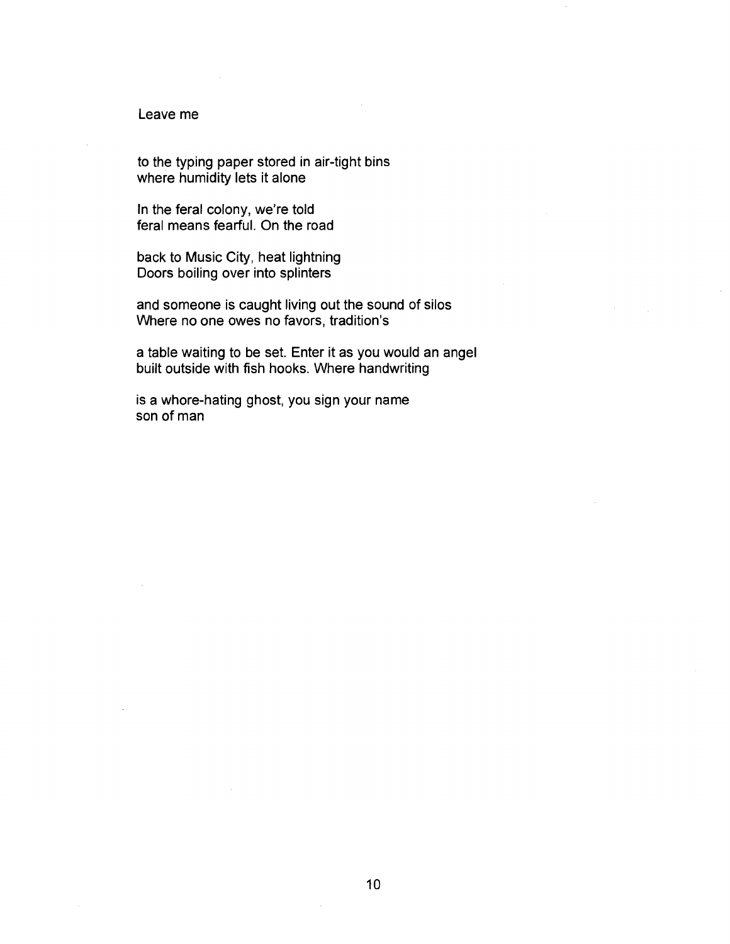## Leave me

to the typing paper stored in air-tight bins where humidity lets it alone

In the feral colony, we're told feral means fearful. On the road

back to Music City, heat lightning Doors boiling over into splinters

and someone is caught living out the sound of silos Where no one owes no favors, tradition's

a table waiting to be set. Enter it as you would an angel built outside with fish hooks. Where handwriting

is a whore-hating ghost, you sign your name son of man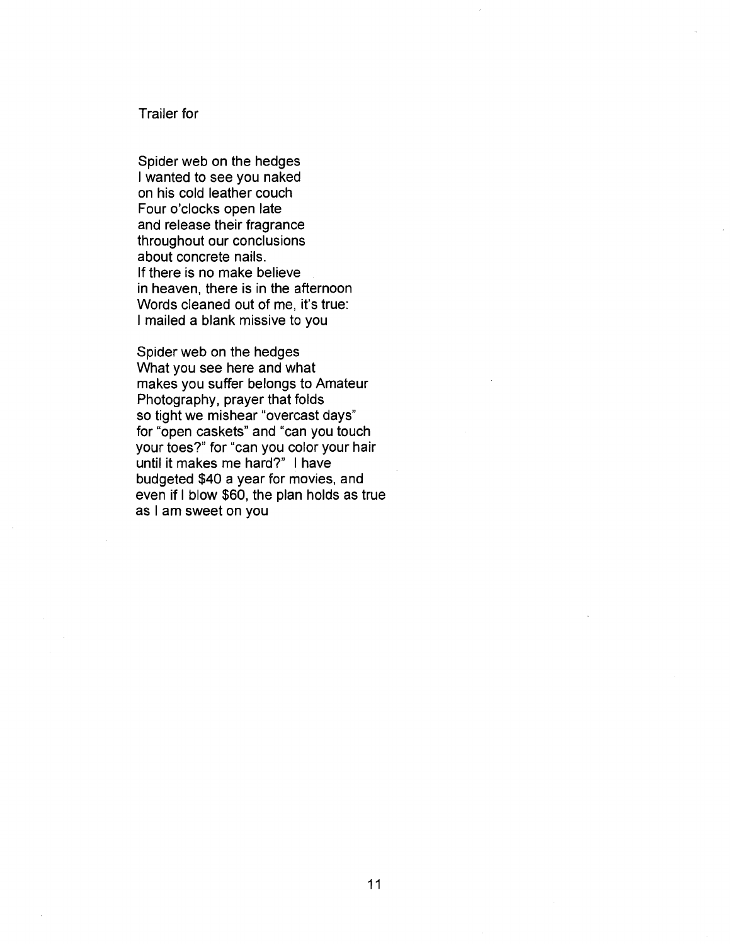## Trailer for

Spider web on the hedges I wanted to see you naked on his cold leather couch Four o'clocks open late and release their fragrance throughout our conclusions about concrete nails. If there is no make believe in heaven, there is in the afternoon Words cleaned out of me, it's true: I mailed a blank missive to you

Spider web on the hedges What you see here and what makes you suffer belongs to Amateur Photography, prayer that folds so tight we mishear "overcast days" for "open caskets" and "can you touch your toes?" for "can you color your hair until it makes me hard?" I have budgeted \$40 a year for movies, and even if I blow \$60, the plan holds as true as I am sweet on you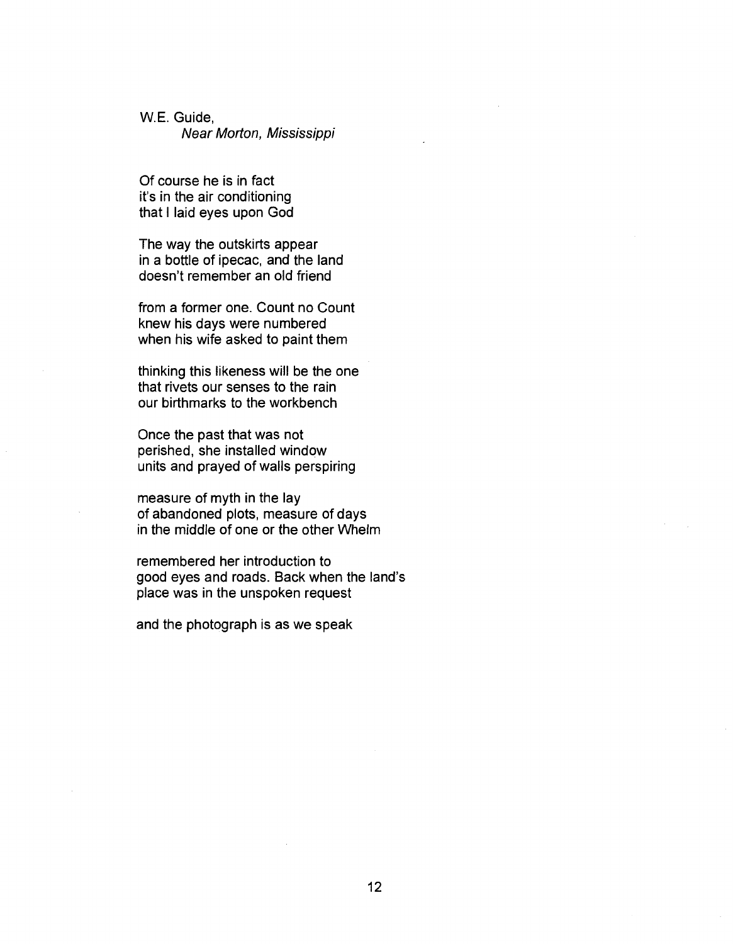W.E. Guide,

Near Morton, Mississippi

Of course he is in fact it's in the air conditioning that I laid eyes upon God

The way the outskirts appear in a bottle of ipecac, and the land doesn't remember an old friend

from a former one. Count no Count knew his days were numbered when his wife asked to paint them

thinking this likeness will be the one that rivets our senses to the rain our birthmarks to the workbench

Once the past that was not perished, she installed window units and prayed of walls perspiring

measure of myth in the lay of abandoned plots, measure of days in the middle of one or the other Whelm

remembered her introduction to good eyes and roads. Back when the land's place was in the unspoken request

and the photograph is as we speak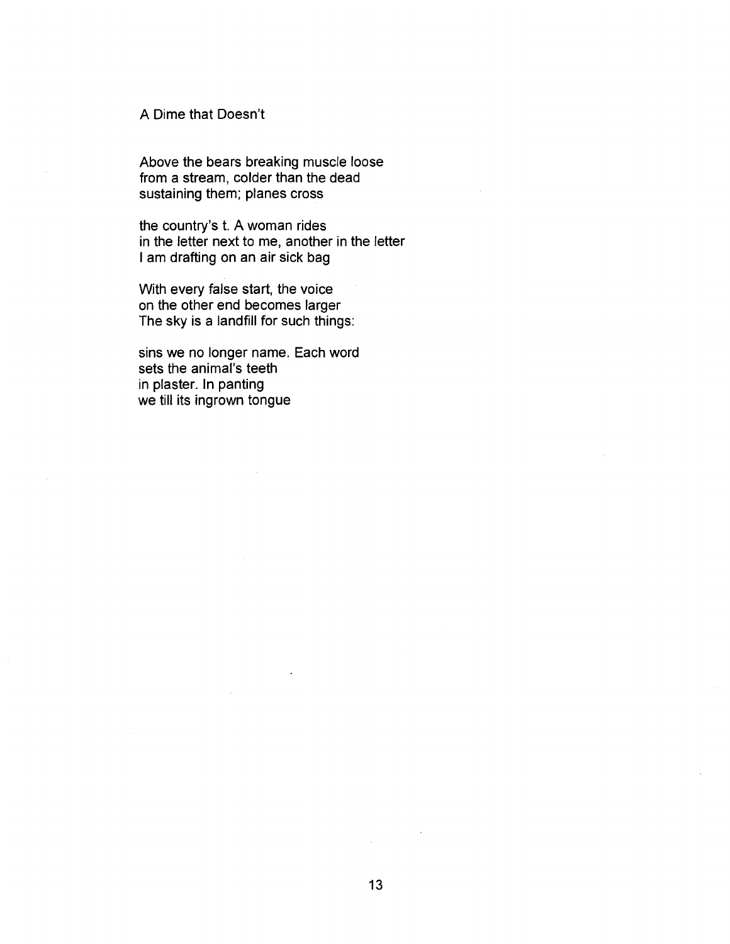A Dime that Doesn't

Above the bears breaking muscle loose from a stream, colder than the dead sustaining them; planes cross

the country's t. A woman rides in the letter next to me, another in the letter I am drafting on an air sick bag

With every false start, the voice on the other end becomes larger The sky is a landfill for such things:

sins we no longer name. Each word sets the animal's teeth in plaster. In panting we till its ingrown tongue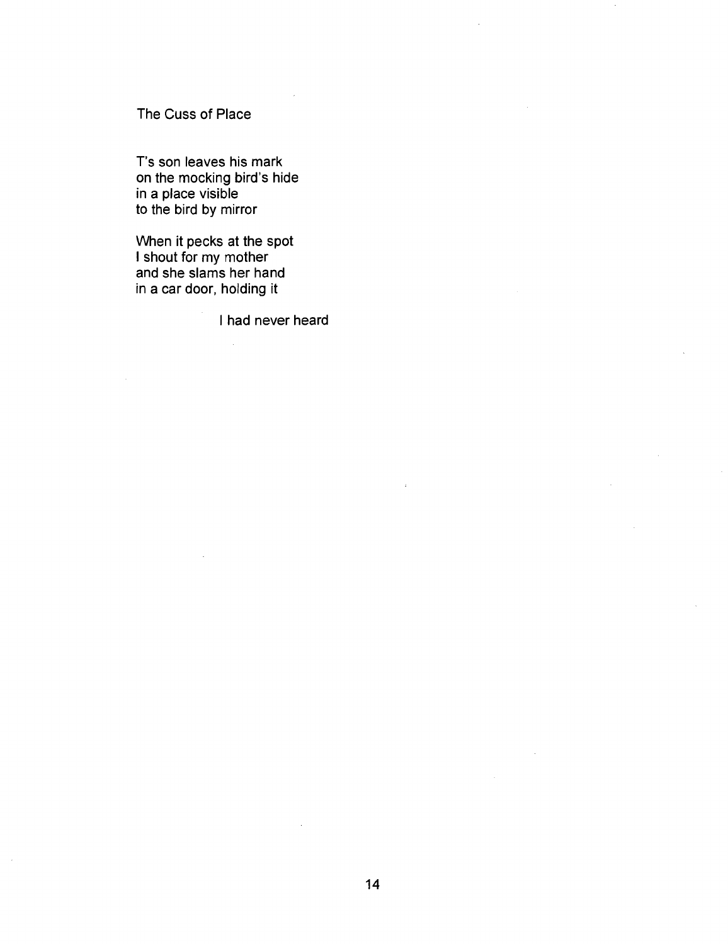The Cuss of Place

T's son leaves his mark on the mocking bird's hide in a place visible to the bird by mirror

When it pecks at the spot I shout for my mother and she slams her hand in a car door, holding it

I had never heard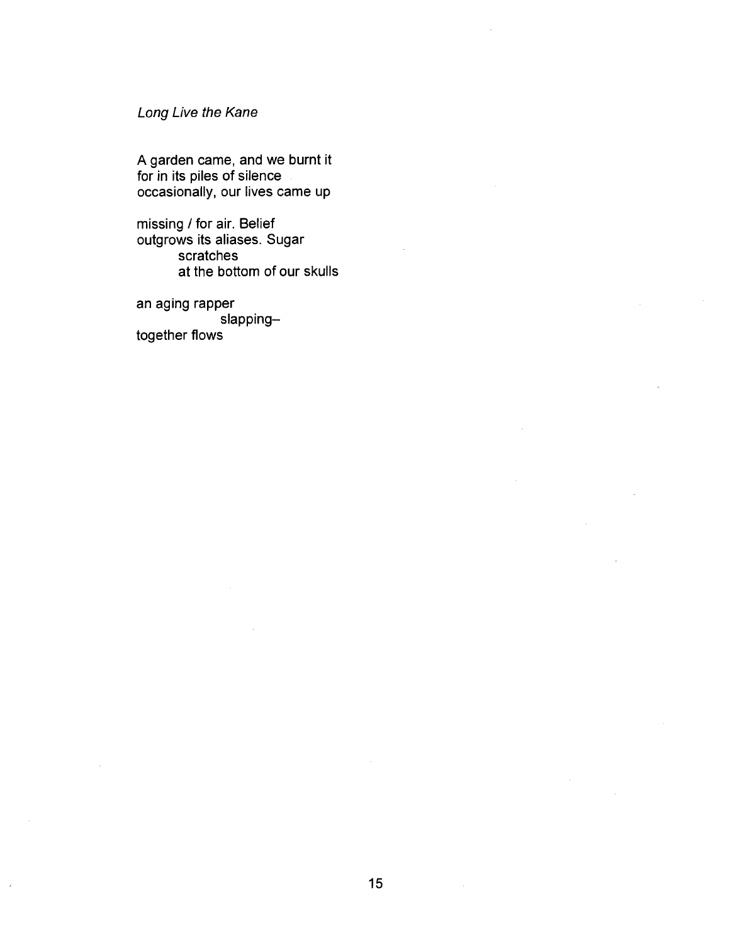## Long Live the Kane

A garden came, and we burnt it for in its piles of silence occasionally, our lives came up

missing / for air. Belief outgrows its aliases. Sugar scratches at the bottom of our skulls

an aging rapper slappingtogether flows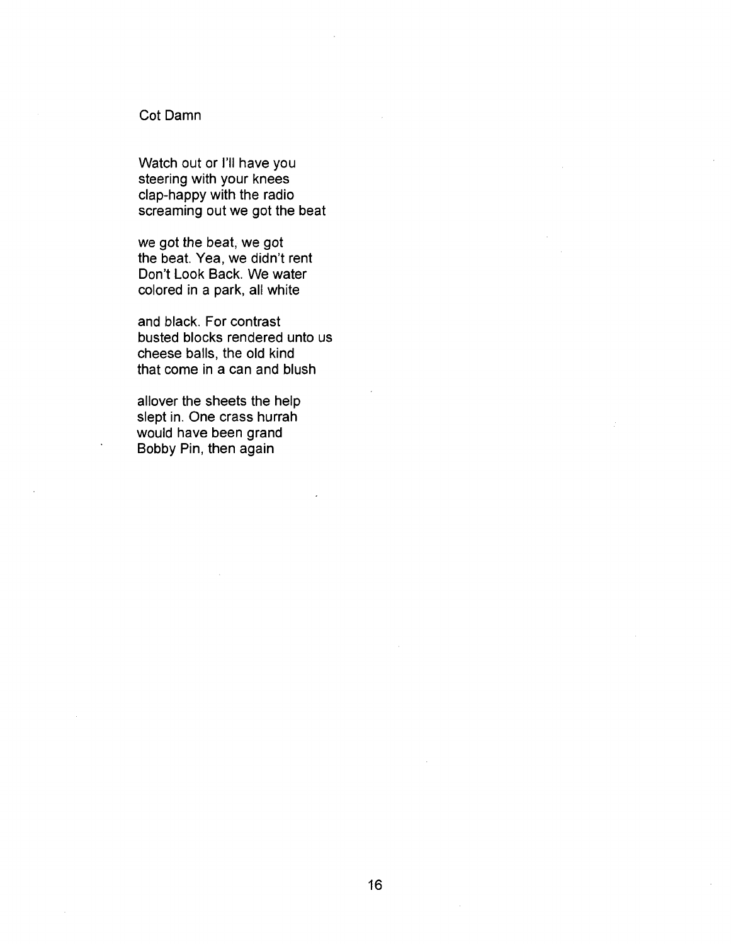## Cot Damn

Watch out or I'll have you steering with your knees clap-happy with the radio screaming out we got the beat

we got the beat, we got the beat. Yea, we didn't rent Don't Look Back. We water colored in a park, all white

and black. For contrast busted blocks rendered unto us cheese balls, the old kind that come in a can and blush

allover the sheets the help slept in. One crass hurrah would have been grand Bobby Pin, then again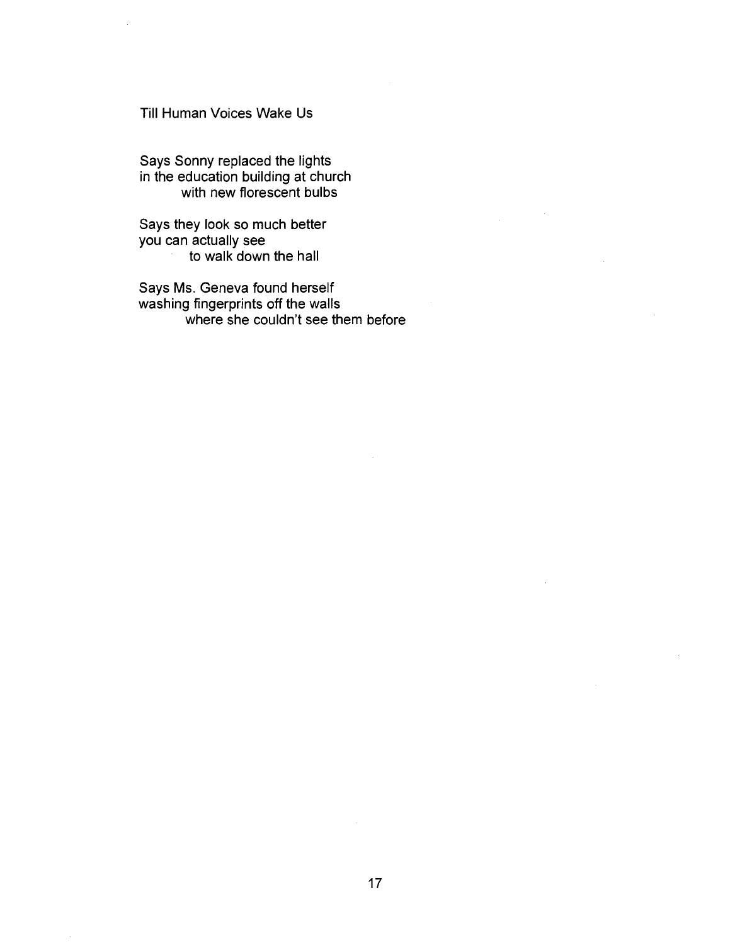Till Human Voices Wake Us

Says Sonny replaced the lights in the education building at church with new florescent bulbs

Says they look so much better you can actually see to walk down the hall

Says Ms. Geneva found herself washing fingerprints off the walls where she couldn't see them before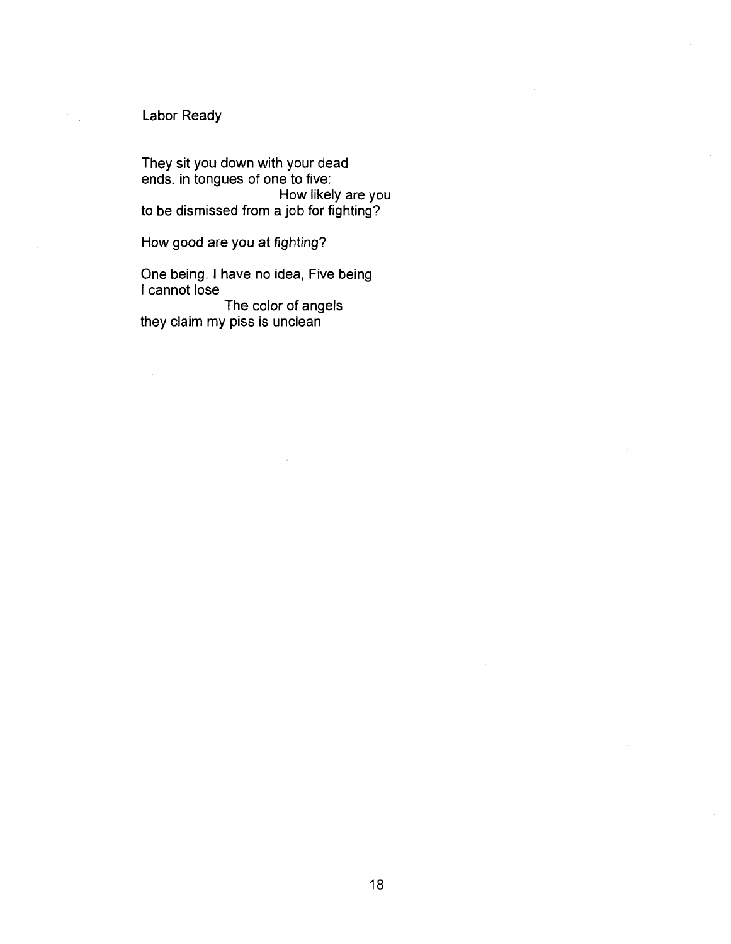## Labor Ready

They sit you down with your dead ends, in tongues of one to five: How likely are you to be dismissed from a job for fighting?

How good are you at fighting?

One being. I have no idea, Five being I cannot lose

The color of angels they claim my piss is unclean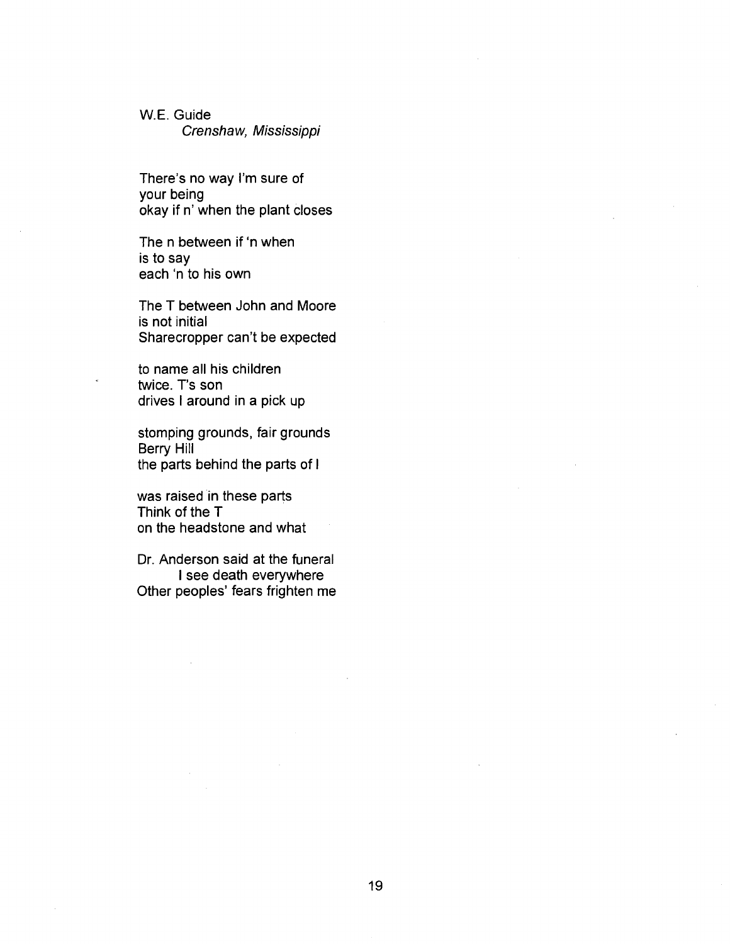W.E. Guide Crenshaw, Mississippi

There's no way I'm sure of your being okay if n' when the plant closes

The n between if 'n when is to say each 'n to his own

The T between John and Moore is not initial Sharecropper can't be expected

to name all his children twice. T's son drives I around in a pick up

stomping grounds, fair grounds Berry Hill the parts behind the parts of I

was raised in these parts Think of the T on the headstone and what

Dr. Anderson said at the funeral I see death everywhere Other peoples' fears frighten me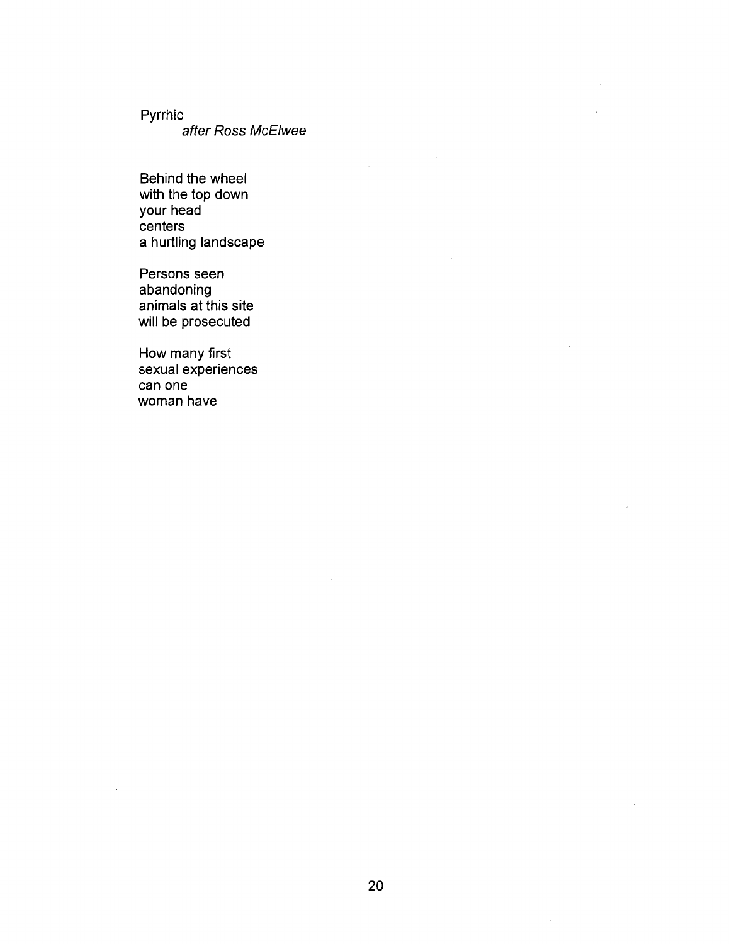Pyrrhic

after Ross McElwee

Behind the wheel with the top down your head centers a hurtling landscape

Persons seen abandoning animals at this site will be prosecuted

How many first sexual experiences can one woman have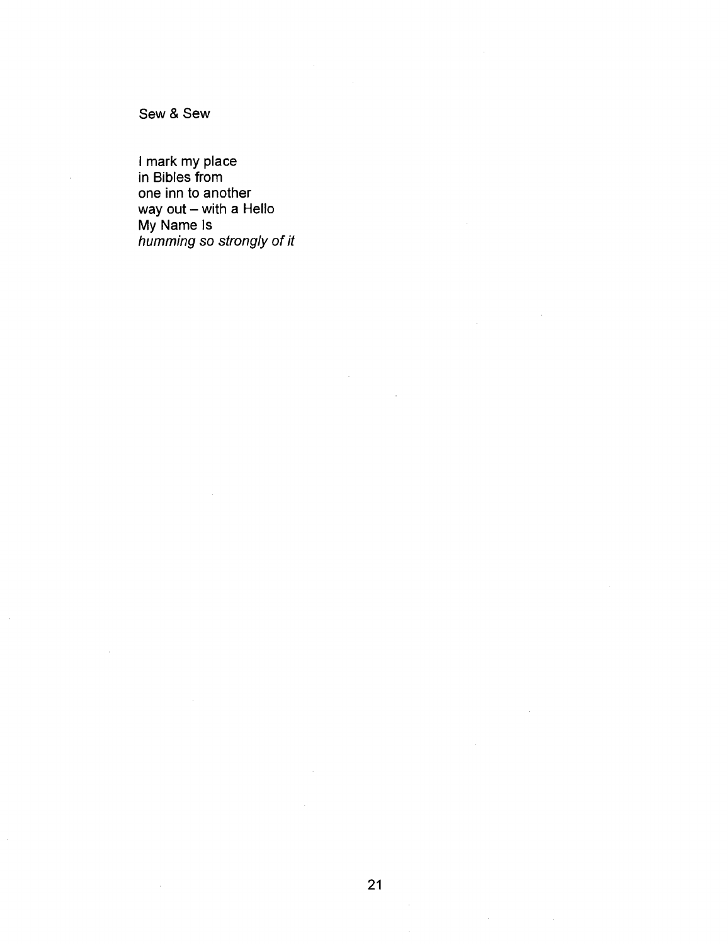Sew & Sew

I mark my place in Bibles from one inn to another way out – with a Hello My Name Is humming so strongly of it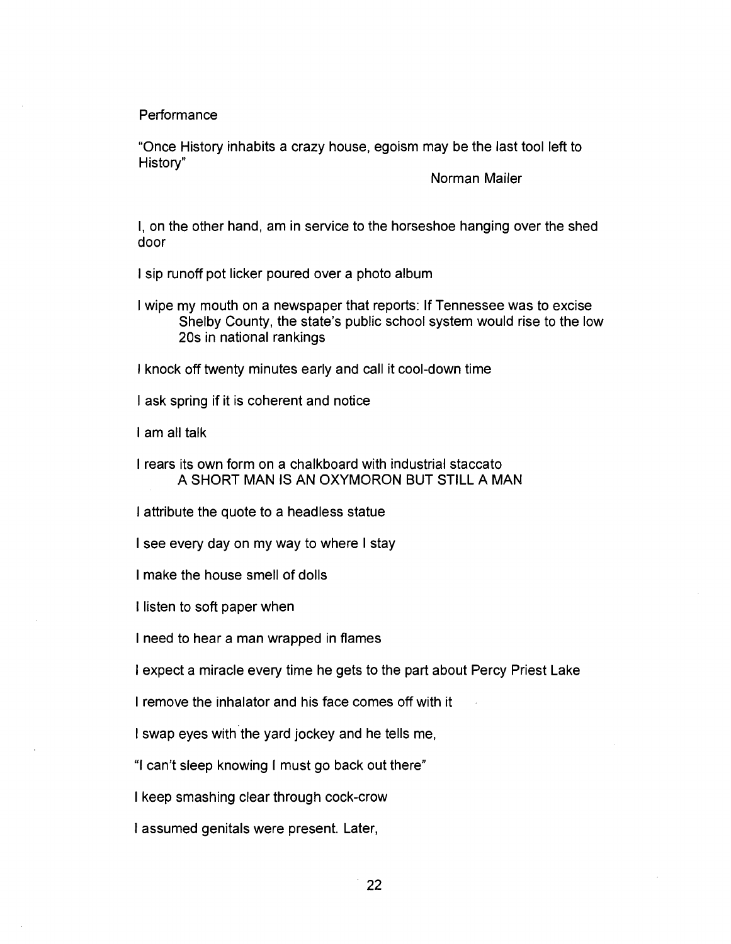Performance

"Once History inhabits a crazy house, egoism may be the last tool left to History"

Norman Mailer

I, on the other hand, am in service to the horseshoe hanging over the shed door

I sip runoff pot licker poured over a photo album

I wipe my mouth on a newspaper that reports: If Tennessee was to excise Shelby County, the state's public school system would rise to the low 20s in national rankings

I knock off twenty minutes early and call it cool-down time

I ask spring if it is coherent and notice

I am all talk

I rears its own form on a chalkboard with industrial staccato A SHORT MAN IS AN OXYMORON BUT STILL A MAN

I attribute the quote to a headless statue

I see every day on my way to where I stay

I make the house smell of dolls

I listen to soft paper when

I need to hear a man wrapped in flames

I expect a miracle every time he gets to the part about Percy Priest Lake

I remove the inhalator and his face comes off with it  $\mathcal{I}(\mathcal{I})$  remove the inhalator and his face comes of with its face comes of with its face comes of with its face comes of with its face comes of with its face comes of with its face comes of with its face comes of wi

I swap eyes with the yard jockey and he tells me,

"I can't sleep knowing I must go back out there"

I keep smashing clear through cock-crow

I assumed genitals were present. Later,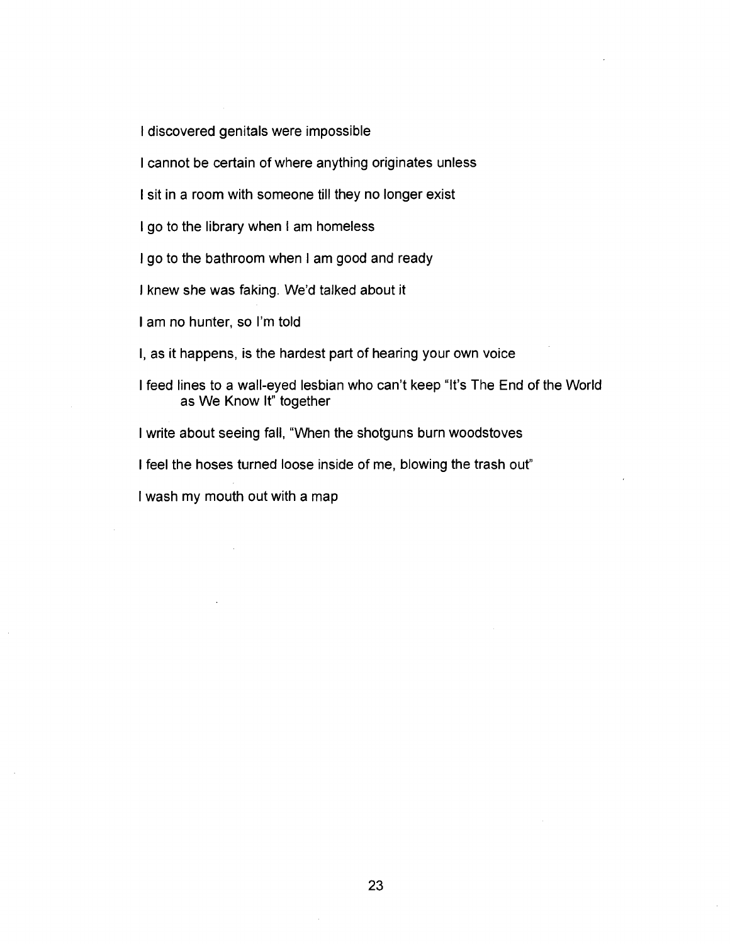I discovered genitals were impossible

I cannot be certain of where anything originates unless

I sit in a room with someone till they no longer exist

I go to the library when I am homeless

I go to the bathroom when I am good and ready

I knew she was faking. We'd talked about it

I am no hunter, so I'm told

I, as it happens, is the hardest part of hearing your own voice

I feed lines to a wall-eyed lesbian who can't keep "It's The End of the World as We Know It" together

I write about seeing fall, "When the shotguns burn woodstoves

I feel the hoses turned loose inside of me, blowing the trash out"

I wash my mouth out with a map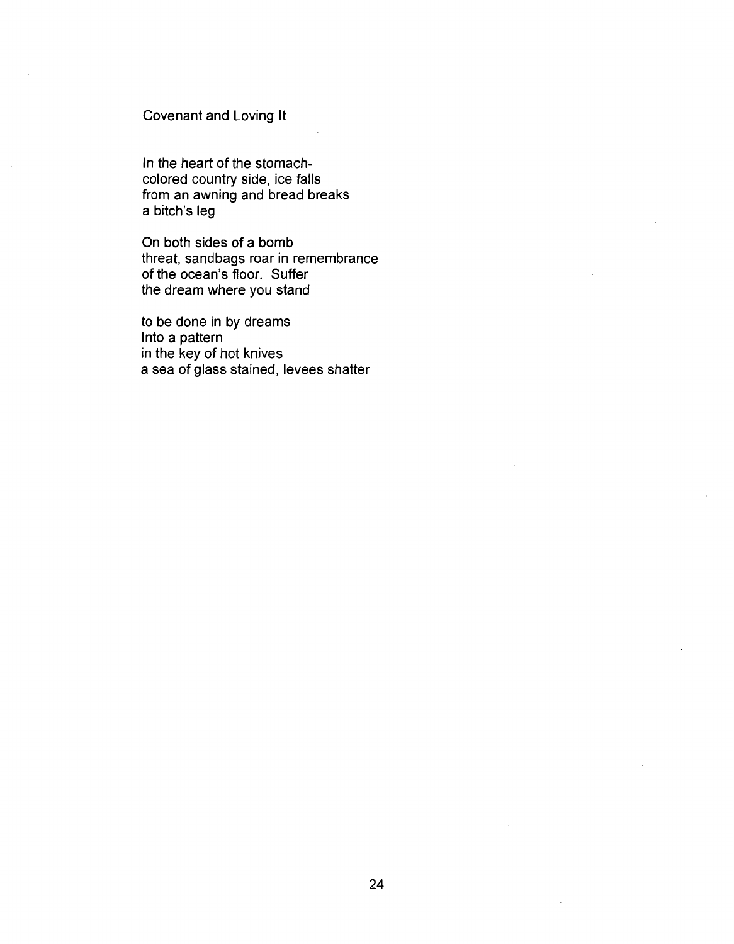## Covenant and Loving It

In the heart of the stomachcolored country side, ice falls from an awning and bread breaks a bitch's leg

On both sides of a bomb threat, sandbags roar in remembrance of the ocean's floor. Suffer the dream where you stand

to be done in by dreams Into a pattern in the key of hot knives a sea of glass stained, levees shatter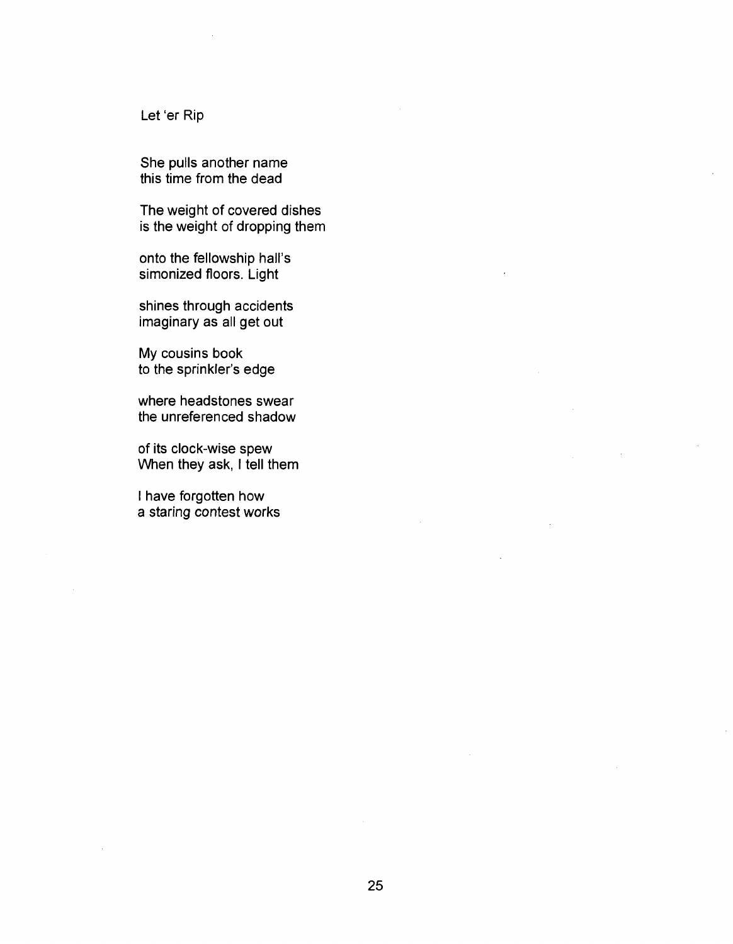Let 'er Rip

She pulls another name this time from the dead

The weight of covered dishes is the weight of dropping them

onto the fellowship hall's simonized floors. Light

shines through accidents imaginary as all get out

My cousins book to the sprinkler's edge

where headstones swear the unreferenced shadow

of its clock-wise spew When they ask, I tell them

I have forgotten how a staring contest works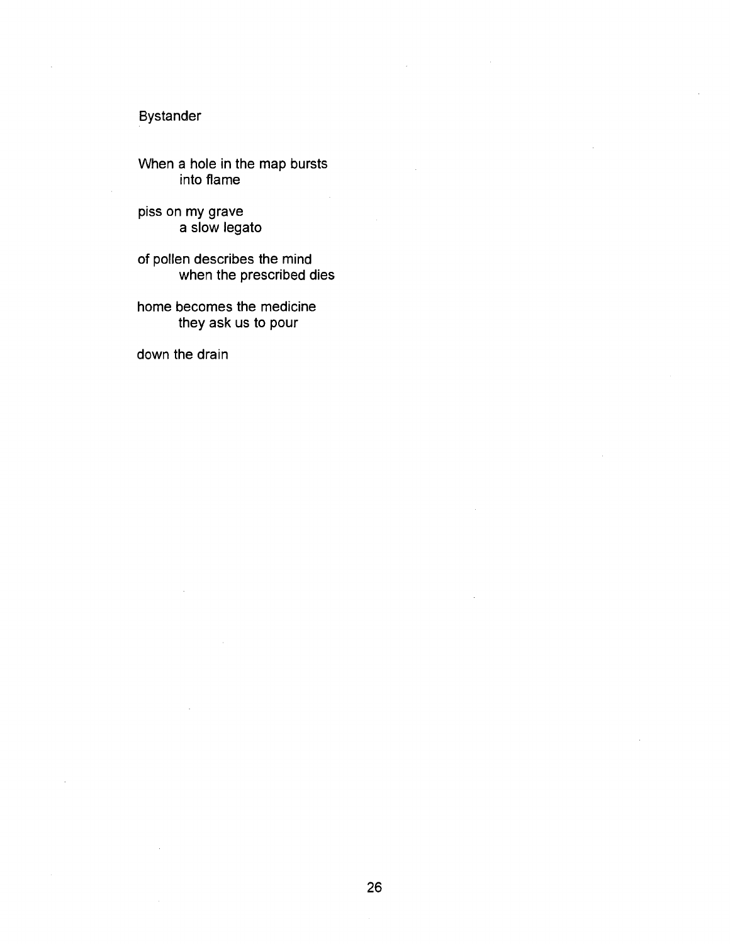## Bystander

When a hole in the map bursts into flame

piss on my grave a slow legato

of pollen describes the mind when the prescribed dies

home becomes the medicine they ask us to pour

down the drain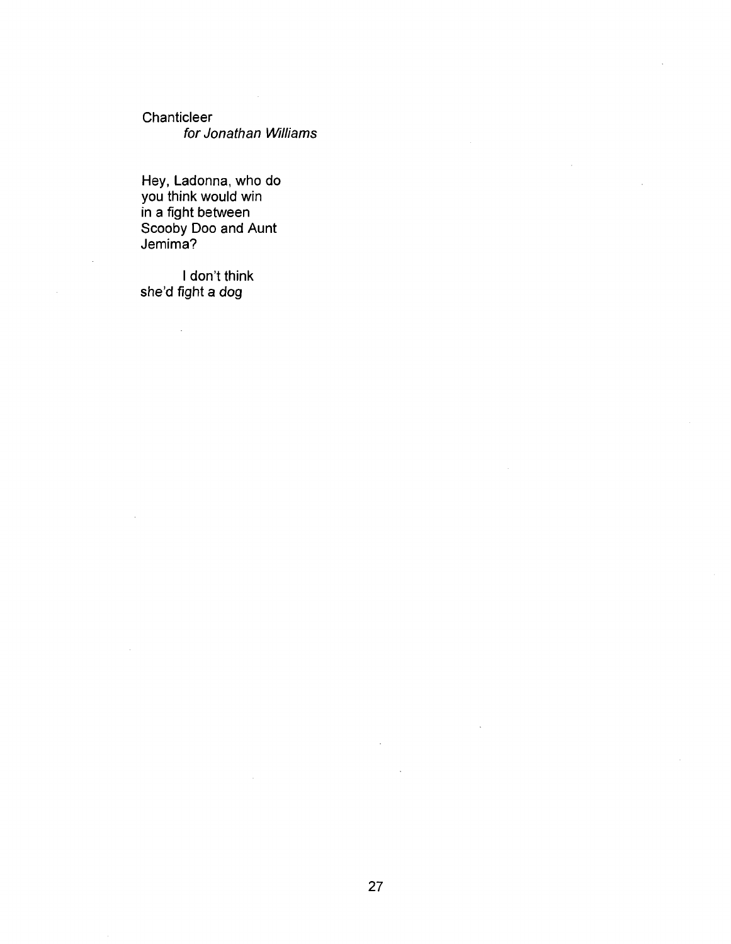**Chanticleer** for Jonathan Williams

Hey, Ladonna, who do you think would win in a fight between Scooby Doo and Aunt Jemima?

I don't think she'd fight a dog

l.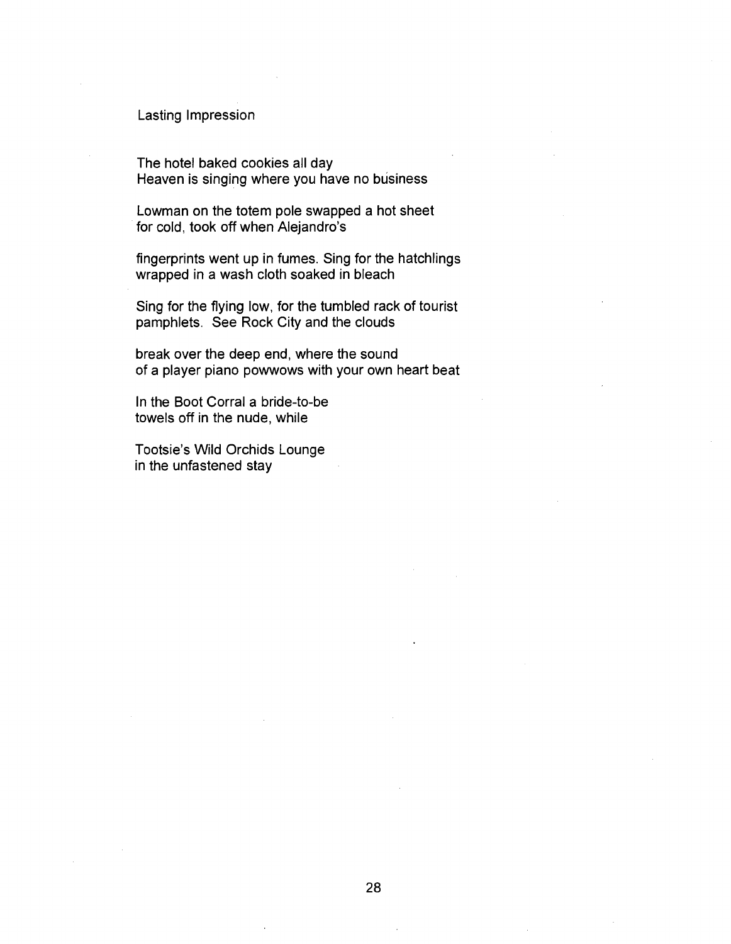## Lasting Impression

The hotel baked cookies all day Heaven is singing where you have no business

Lowman on the totem pole swapped a hot sheet for cold, took off when Alejandro's

fingerprints went up in fumes. Sing for the hatchlings wrapped in a wash cloth soaked in bleach

Sing for the flying low, for the tumbled rack of tourist pamphlets. See Rock City and the clouds

break over the deep end, where the sound of a player piano powwows with your own heart beat

In the Boot Corral a bride-to-be towels off in the nude, while

Tootsie's Wild Orchids Lounge in the unfastened stay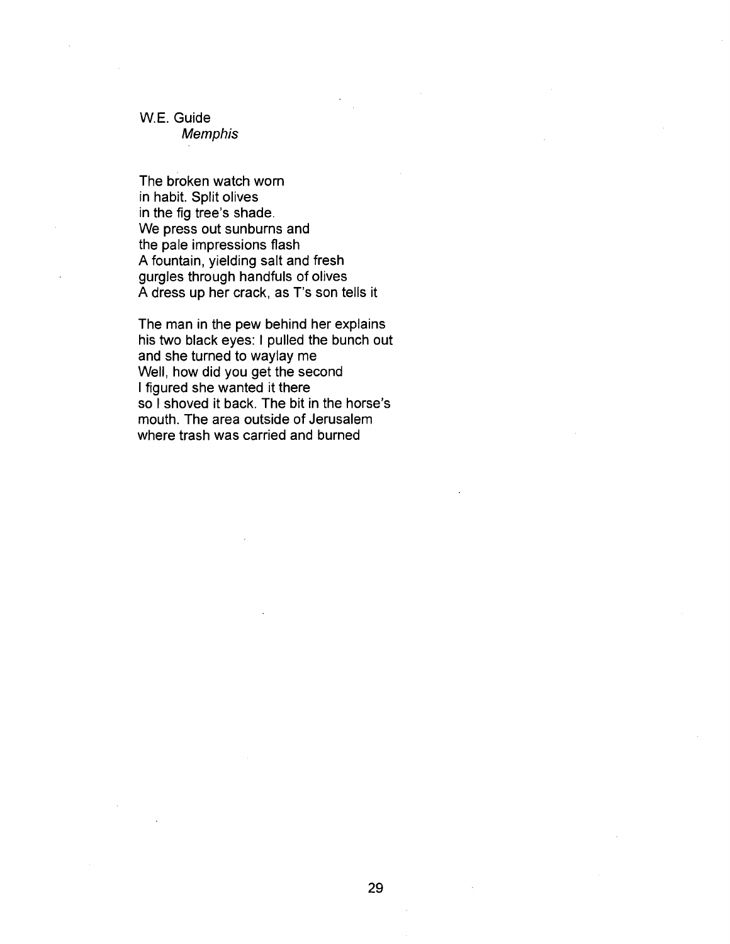#### W.E. Guide

Memphis

The broken watch worn in habit. Split olives in the fig tree's shade. We press out sunburns and the pale impressions flash A fountain, yielding salt and fresh gurgles through handfuls of olives A dress up her crack, as T's son tells it

The man in the pew behind her explains his two black eyes: I pulled the bunch out and she turned to waylay me Well, how did you get the second I figured she wanted it there so I shoved it back. The bit in the horse's mouth. The area outside of Jerusalem where trash was carried and burned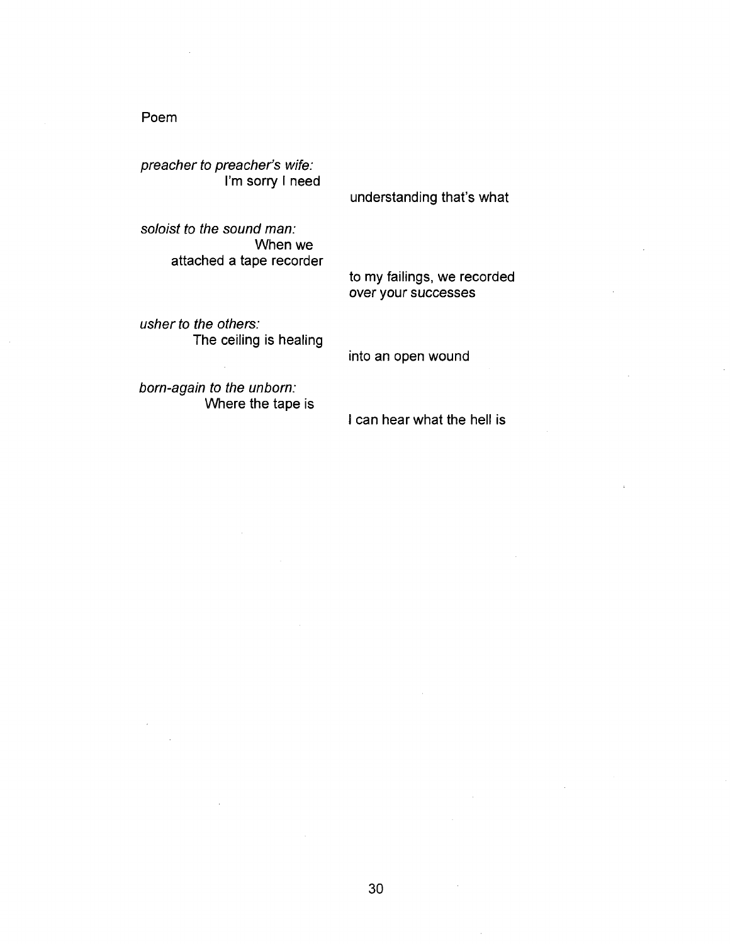## Poem

preacher to preacher's wife: I'm sorry I need

understanding that's what

to my failings, we recorded

soloist to the sound man: When we attached a tape recorder

usher to the others: The ceiling is healing

into an open wound

over your successes

born-again to the unborn: Where the tape is

can hear what the hell is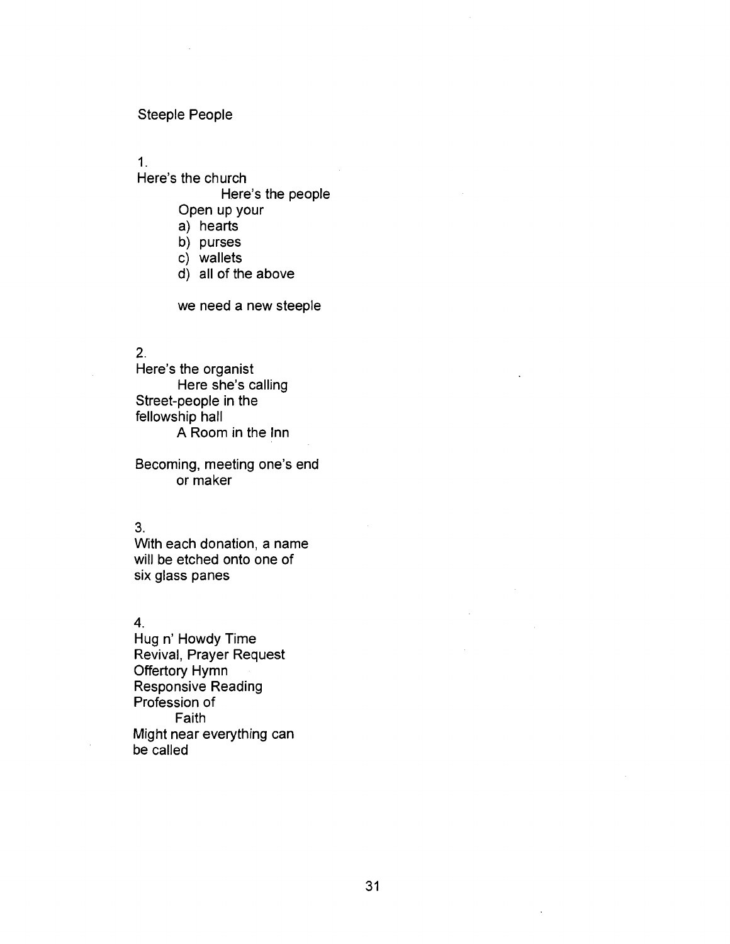## Steeple People

**1.** 

#### Here's the church

Here's the people

- Open up your
- a) hearts
- b) purses
- c) wallets
- d) all of the above

we need a new steeple

## 2.

Here's the organist Here she's calling Street-people in the fellowship hall A Room in the Inn

Becoming, meeting one's end or maker

#### 3.

With each donation, a name will be etched onto one of six glass panes

4.

Hug n' Howdy Time Revival, Prayer Request Offertory Hymn Responsive Reading Profession of Faith Might near everything can be called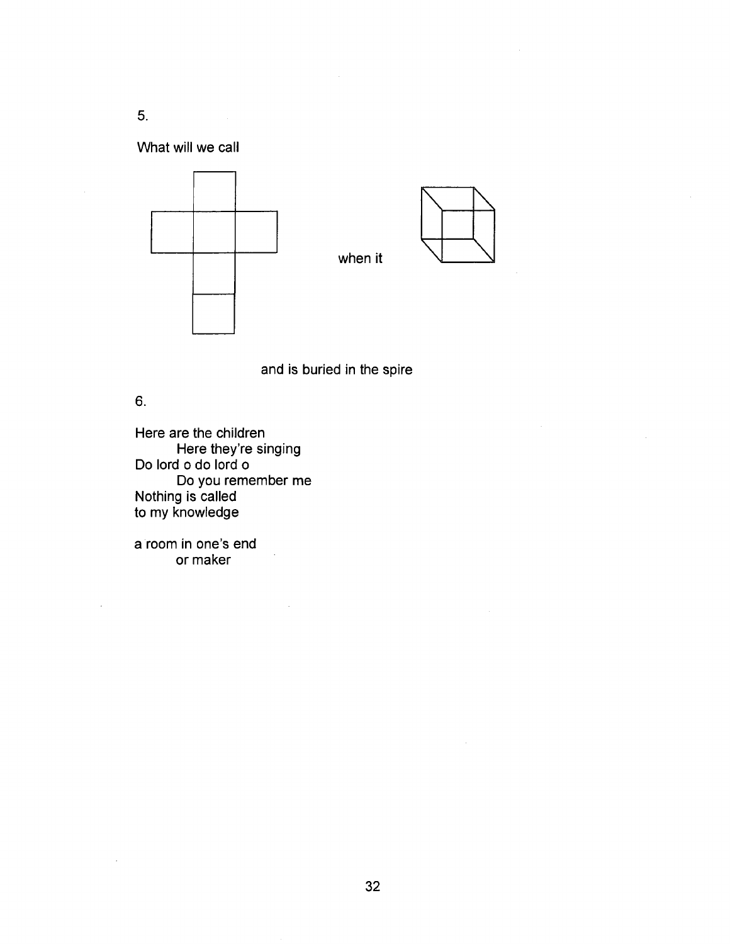5.

What will we call





and is buried in the spire

6.

Here are the children Here they're singing Do lord o do lord o Do you remember me Nothing is called to my knowledge

a room in one's end or maker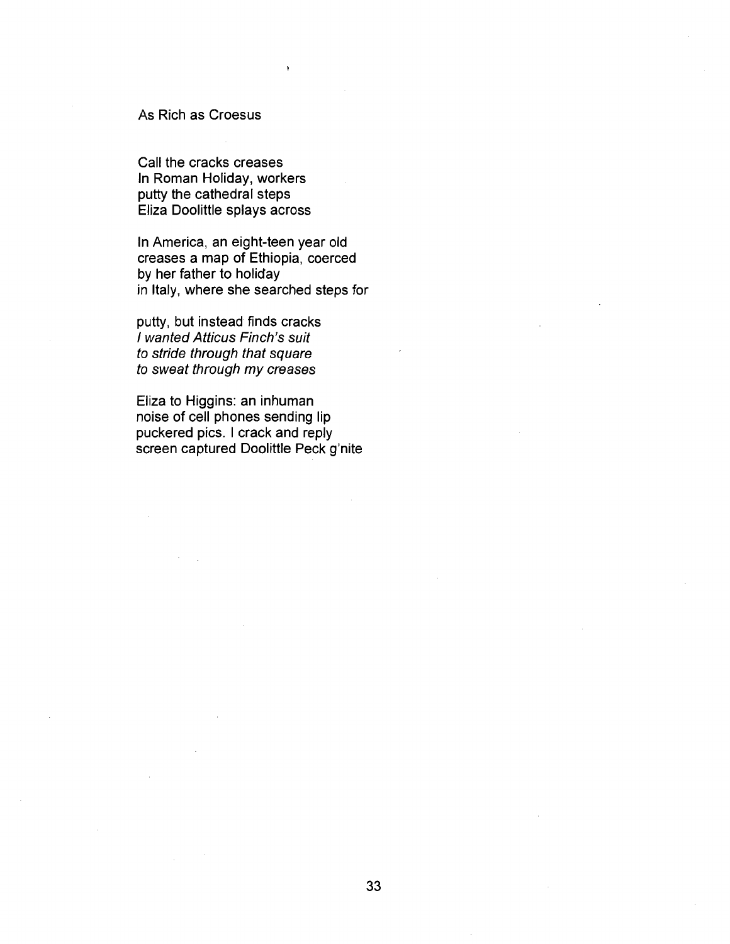#### As Rich as Croesus

Call the cracks creases In Roman Holiday, workers putty the cathedral steps Eliza Doolittle splays across

In America, an eight-teen year old creases a map of Ethiopia, coerced by her father to holiday in Italy, where she searched steps for

putty, but instead finds cracks / wanted Atticus Finch's suit to stride through that square to sweat through my creases

Eliza to Higgins: an inhuman noise of cell phones sending lip puckered pics. I crack and reply screen captured Doolittle Peck g'nite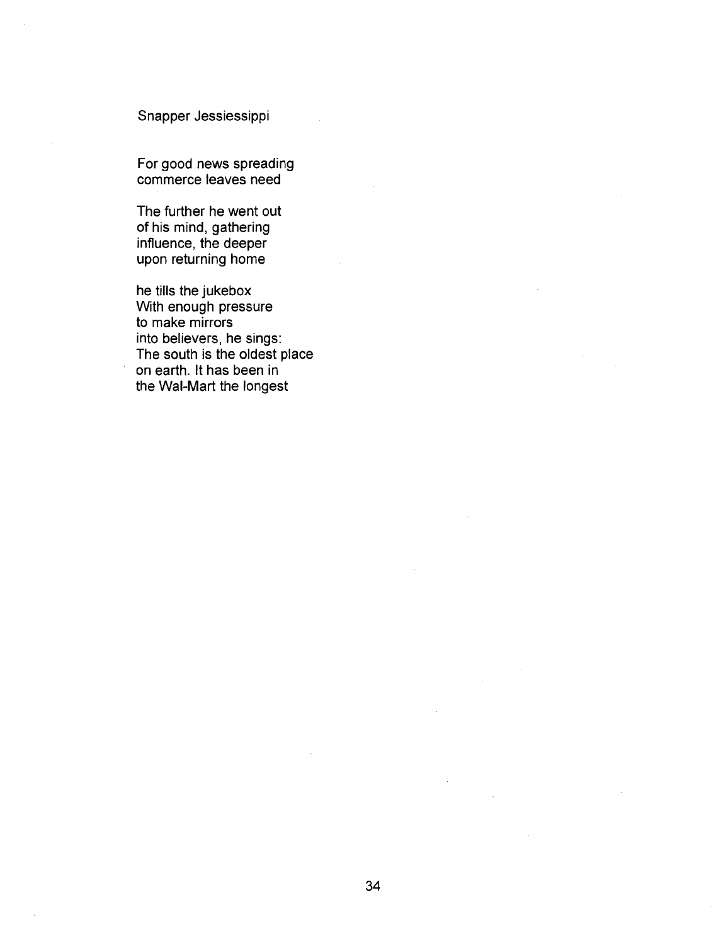## Snapper Jessiessippi

For good news spreading commerce leaves need

The further he went out of his mind, gathering influence, the deeper upon returning home

he tills the jukebox With enough pressure to make mirrors into believers, he sings: The south is the oldest place on earth. It has been in the Wal-Mart the longest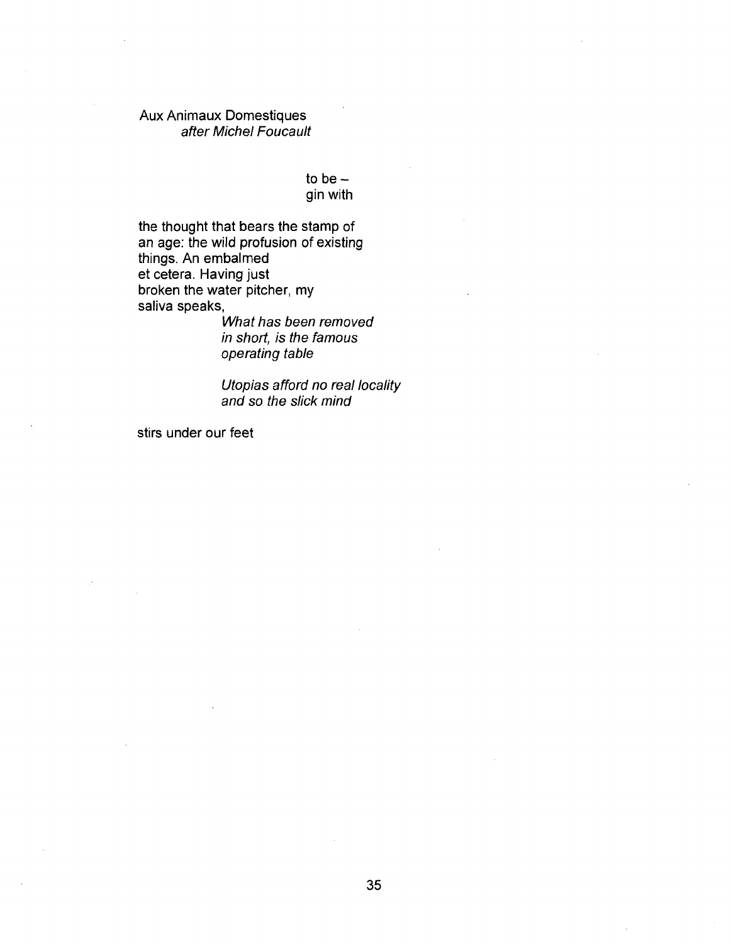## Aux Animaux Domestiques after Michel Foucault

to be  $$ gin with

the thought that bears the stamp of an age: the wild profusion of existing things. An embalmed et cetera. Having just broken the water pitcher, my saliva speaks,

What has been removed in short, is the famous operating table

Utopias afford no real locality and so the slick mind

stirs under our feet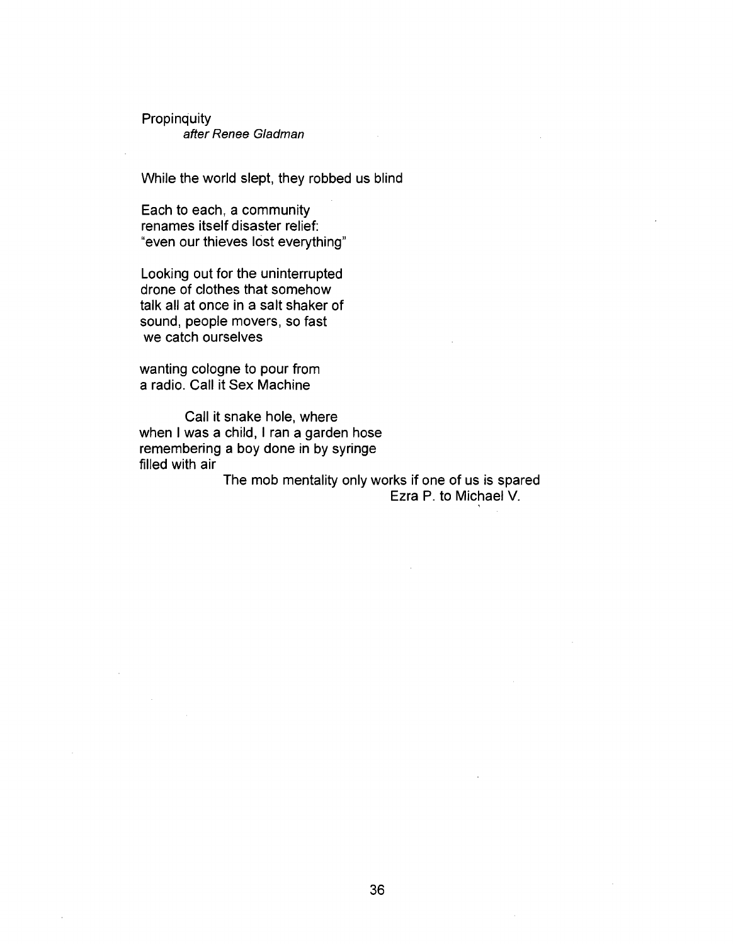**Propinquity** after Renee Gladman

While the world slept, they robbed us blind

Each to each, a community renames itself disaster relief: "even our thieves lost everything"

Looking out for the uninterrupted drone of clothes that somehow talk all at once in a salt shaker of sound, people movers, so fast we catch ourselves

wanting cologne to pour from a radio. Call it Sex Machine

Call it snake hole, where when I was a child, I ran a garden hose remembering a boy done in by syringe filled with air

The mob mentality only works if one of us is spared Ezra P. to Michael V.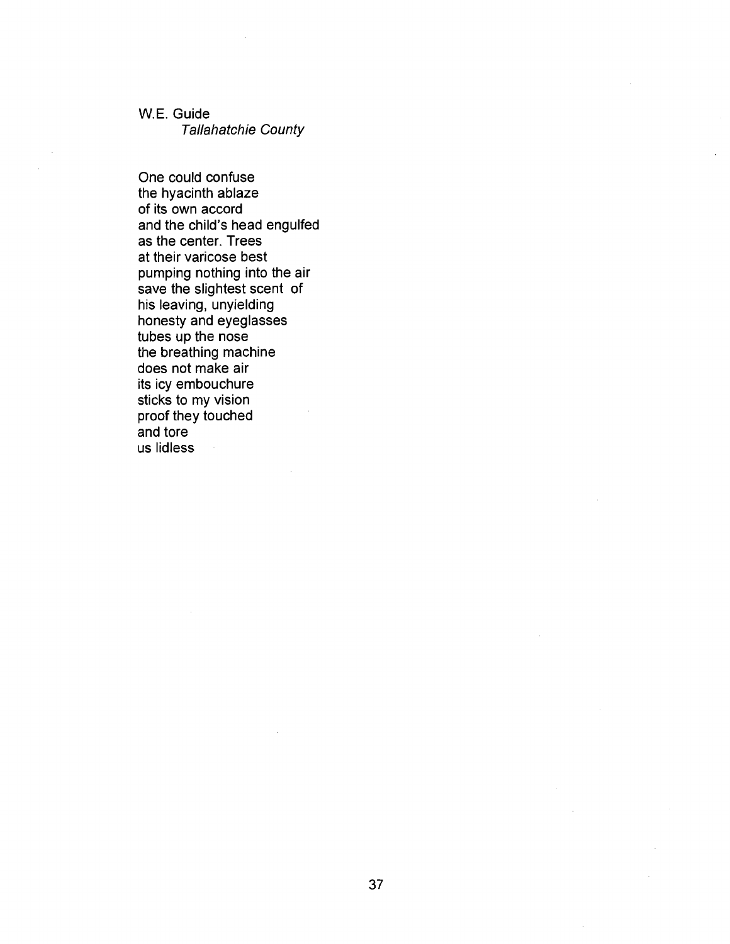W.E. Guide

Tallahatchie County

One could confuse the hyacinth ablaze of its own accord and the child's head engulfed as the center. Trees at their varicose best pumping nothing into the air save the slightest scent of his leaving, unyielding honesty and eyeglasses tubes up the nose the breathing machine does not make air its icy embouchure sticks to my vision proof they touched and tore us lidless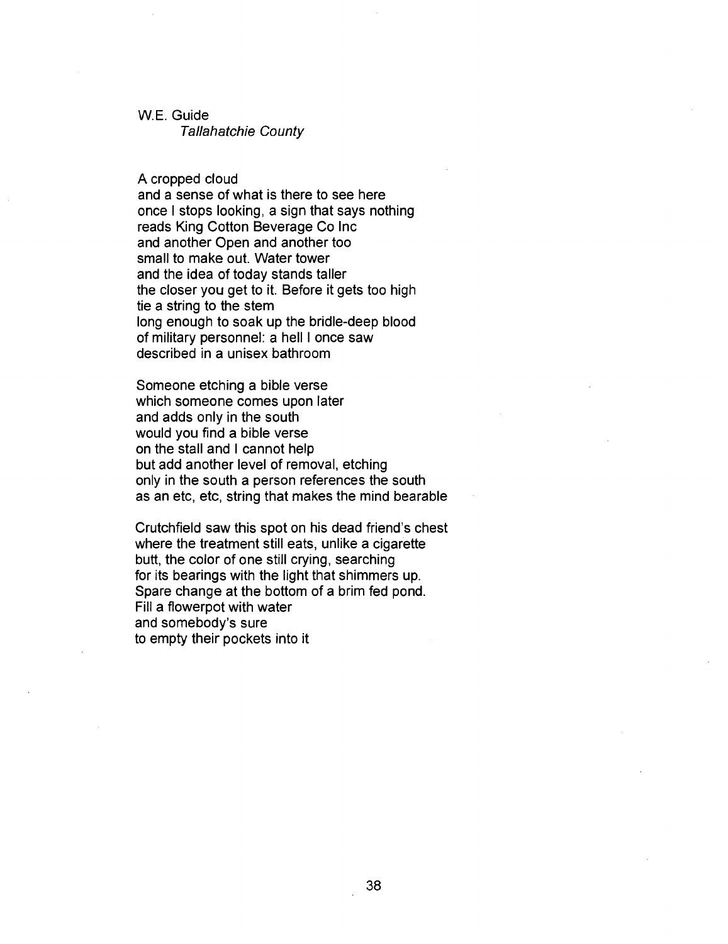## W.E. Guide

Tallahatchie County

A cropped cloud

and a sense of what is there to see here once I stops looking, a sign that says nothing reads King Cotton Beverage Co Inc and another Open and another too small to make out. Water tower and the idea of today stands taller the closer you get to it. Before it gets too high tie a string to the stem long enough to soak up the bridle-deep blood of military personnel: a hell I once saw described in a unisex bathroom

Someone etching a bible verse which someone comes upon later and adds only in the south would you find a bible verse on the stall and I cannot help but add another level of removal, etching only in the south a person references the south as an etc, etc, string that makes the mind bearable

Crutchfield saw this spot on his dead friend's chest where the treatment still eats, unlike a cigarette butt, the color of one still crying, searching for its bearings with the light that shimmers up. Spare change at the bottom of a brim fed pond. Fill a flowerpot with water and somebody's sure to empty their pockets into it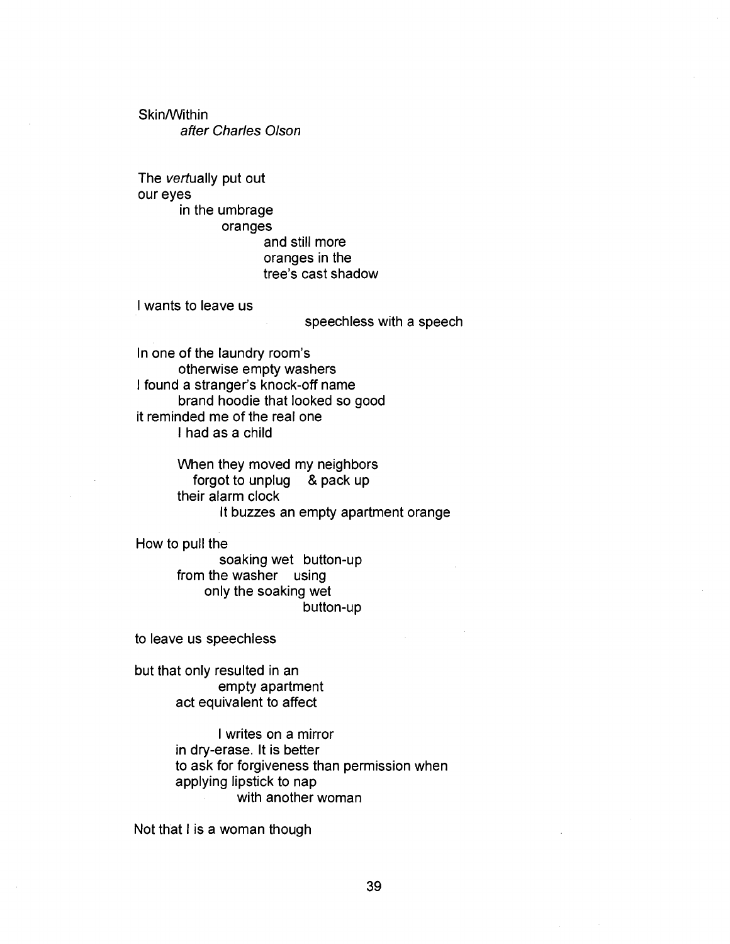Skin/Within after Charles Olson

The vertually put out our eyes in the umbrage oranges and still more oranges in the tree's cast shadow

I wants to leave us

speechless with a speech

In one of the laundry room's otherwise empty washers I found a stranger's knock-off name brand hoodie that looked so good it reminded me of the real one I had as a child

> When they moved my neighbors forgot to unplug & pack up their alarm clock It buzzes an empty apartment orange

How to pull the

soaking wet button-up from the washer using only the soaking wet button-up

to leave us speechless

but that only resulted in an empty apartment act equivalent to affect

> I writes on a mirror in dry-erase. It is better to ask for forgiveness than permission when applying lipstick to nap with another woman

Not that I is a woman though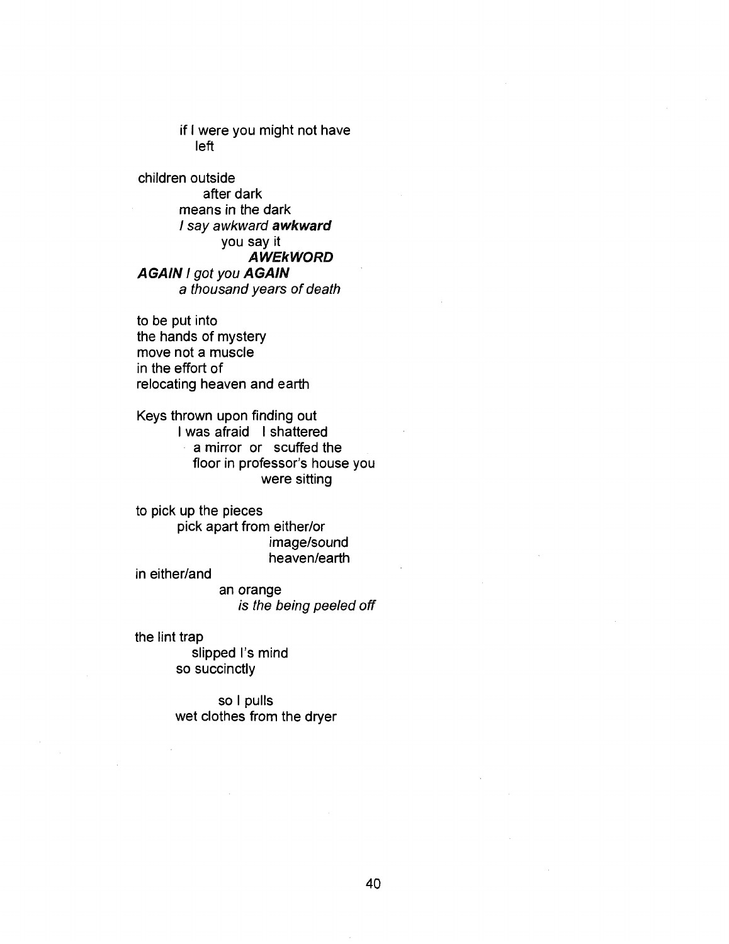if I were you might not have left

children outside after dark means in the dark / say awkward awkward you say it **AWEkWORD** AGAIN I got you AGAIN a thousand years of death

to be put into the hands of mystery move not a muscle in the effort of relocating heaven and earth

Keys thrown upon finding out I was afraid I shattered a mirror or scuffed the floor in professor's house you were sitting

to pick up the pieces pick apart from either/or image/sound heaven/earth

in either/and

an orange is the being peeled off

the lint trap

slipped I's mind so succinctly

so I pulls wet clothes from the dryer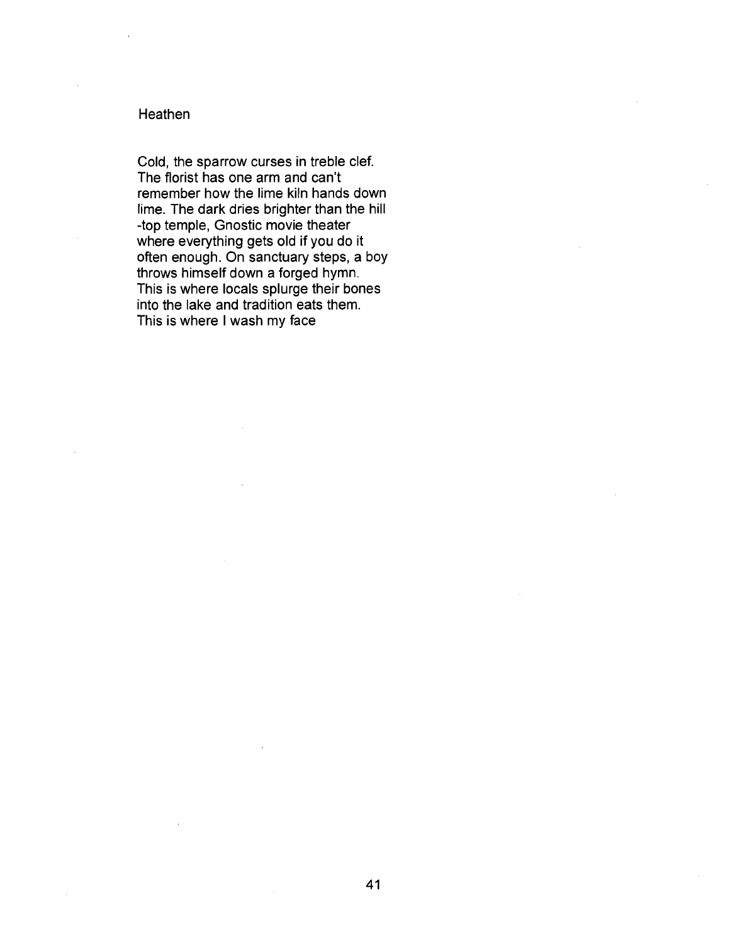## Heathen

Cold, the sparrow curses in treble clef. The florist has one arm and can't remember how the lime kiln hands down lime. The dark dries brighter than the hill -top temple, Gnostic movie theater where everything gets old if you do it often enough. On sanctuary steps, a boy throws himself down a forged hymn. This is where locals splurge their bones into the lake and tradition eats them. This is where I wash my face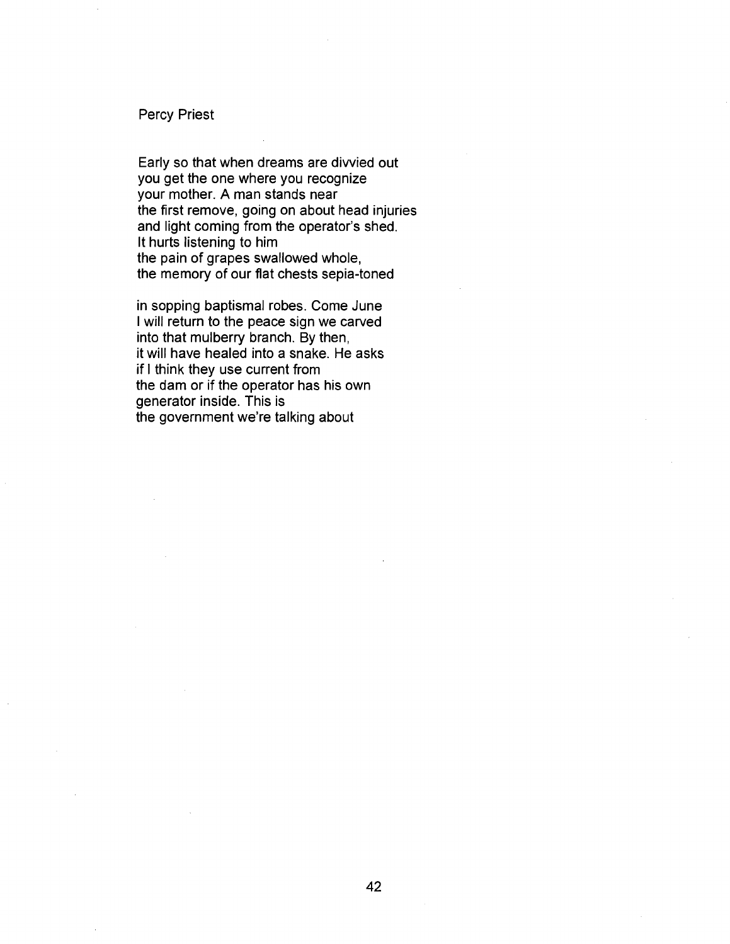#### Percy Priest

Early so that when dreams are divvied out you get the one where you recognize your mother. A man stands near the first remove, going on about head injuries and light coming from the operator's shed. It hurts listening to him the pain of grapes swallowed whole, the memory of our flat chests sepia-toned

in sopping baptismal robes. Come June I will return to the peace sign we carved into that mulberry branch. By then, it will have healed into a snake. He asks if I think they use current from the dam or if the operator has his own generator inside. This is the government we're talking about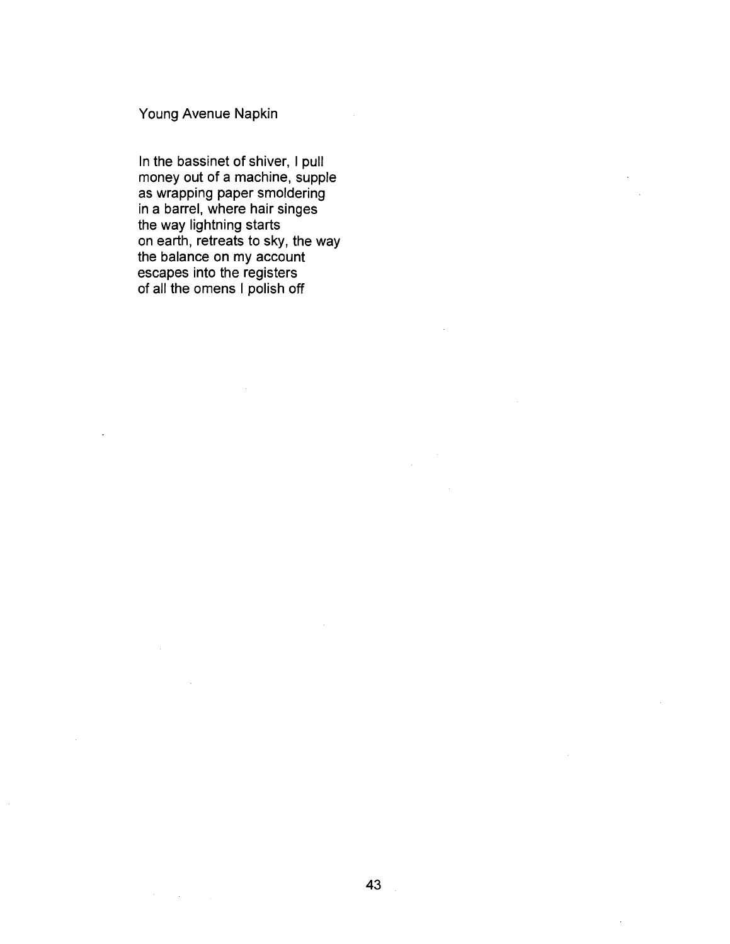## Young Avenue Napkin

 $\sim 100$  km s  $^{-1}$ 

In the bassinet of shiver, I pull money out of a machine, supple as wrapping paper smoldering in a barrel, where hair singes the way lightning starts on earth, retreats to sky, the way the balance on my account escapes into the registers of all the omens I polish off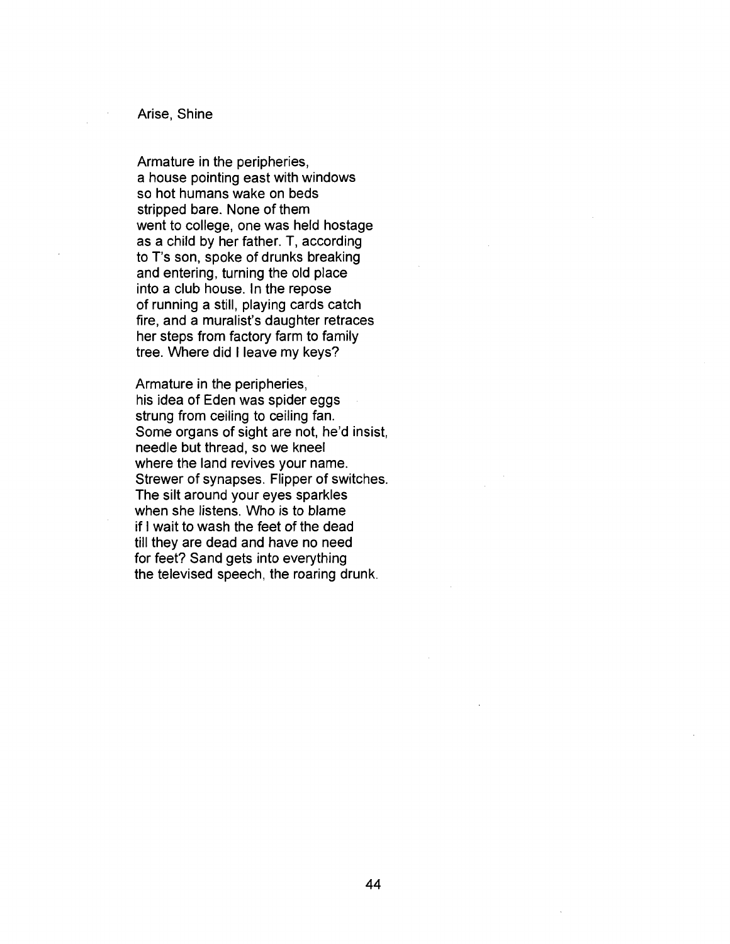## Arise, Shine

Armature in the peripheries, a house pointing east with windows so hot humans wake on beds stripped bare. None of them went to college, one was held hostage as a child by her father. T, according to T's son, spoke of drunks breaking and entering, turning the old place into a club house. In the repose of running a still, playing cards catch fire, and a muralist's daughter retraces her steps from factory farm to family tree. Where did I leave my keys?

Armature in the peripheries, his idea of Eden was spider eggs strung from ceiling to ceiling fan. Some organs of sight are not, he'd insist, needle but thread, so we kneel where the land revives your name. Strewer of synapses. Flipper of switches. The silt around your eyes sparkles when she listens. Who is to blame if I wait to wash the feet of the dead till they are dead and have no need for feet? Sand gets into everything the televised speech, the roaring drunk.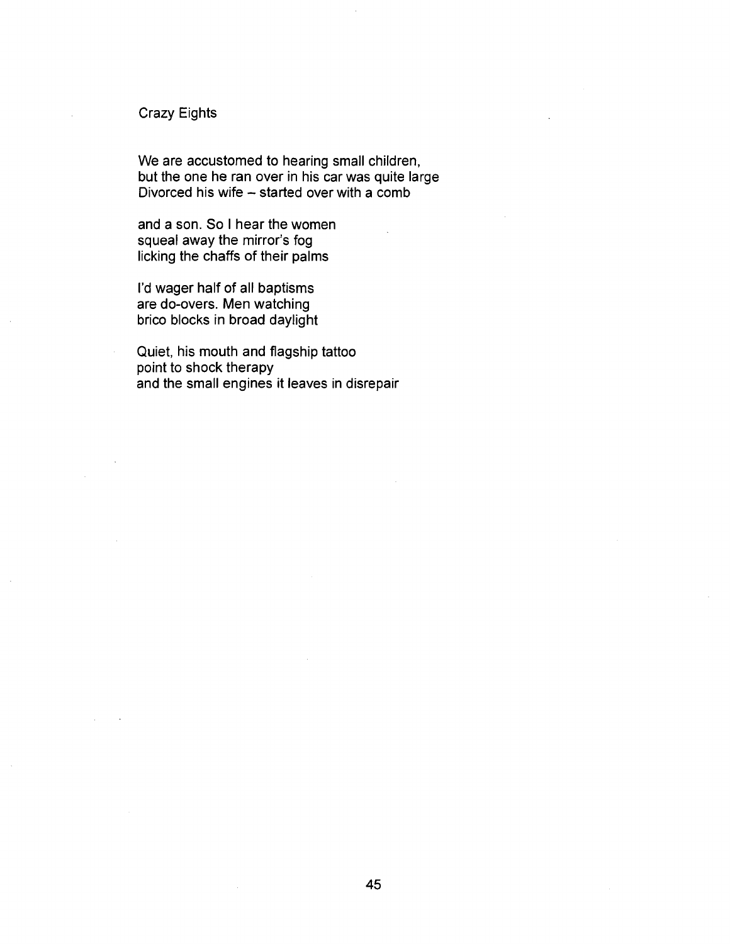## Crazy Eights

We are accustomed to hearing small children, but the one he ran over in his car was quite large Divorced his wife - started over with a comb

and a son. So I hear the women squeal away the mirror's fog licking the chaffs of their palms

I'd wager half of all baptisms are do-overs. Men watching brico blocks in broad daylight

Quiet, his mouth and flagship tattoo point to shock therapy and the small engines it leaves in disrepair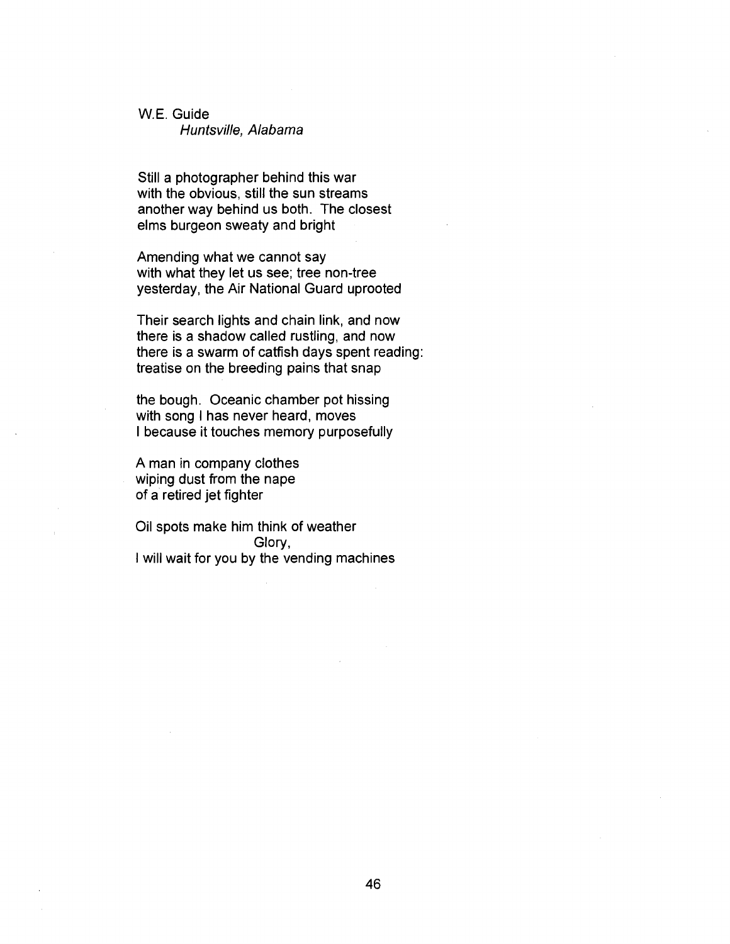## W.E. Guide

Huntsville, Alabama

Still a photographer behind this war with the obvious, still the sun streams another way behind us both. The closest elms burgeon sweaty and bright

Amending what we cannot say with what they let us see; tree non-tree yesterday, the Air National Guard uprooted

Their search lights and chain link, and now there is a shadow called rustling, and now there is a swarm of catfish days spent reading: treatise on the breeding pains that snap

the bough. Oceanic chamber pot hissing with song I has never heard, moves I because it touches memory purposefully

A man in company clothes wiping dust from the nape of a retired jet fighter

Oil spots make him think of weather Glory, I will wait for you by the vending machines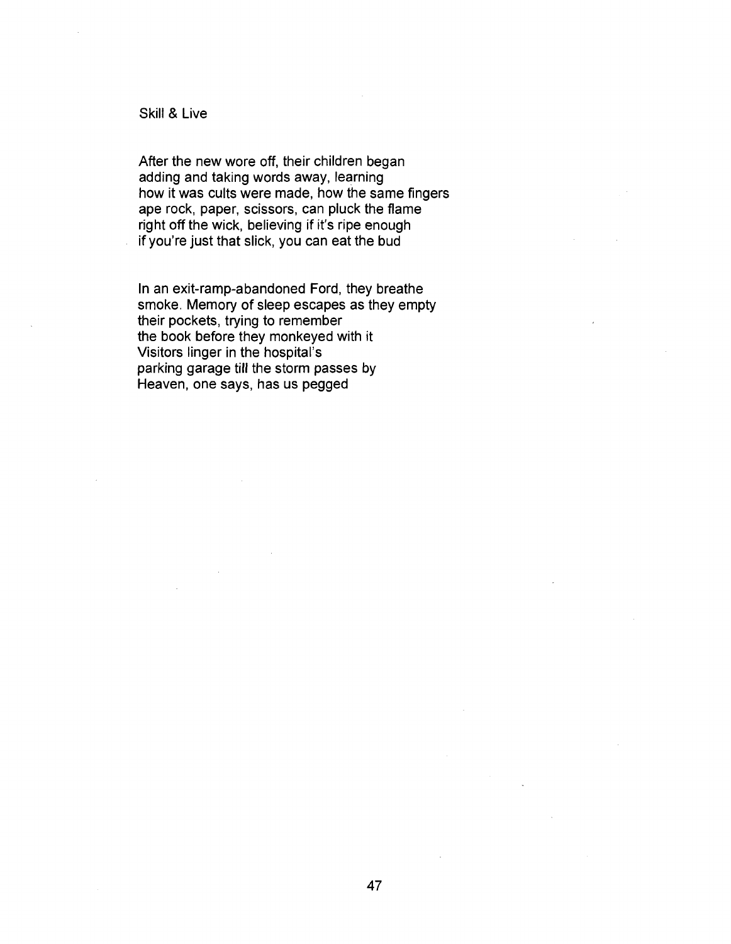## Skill & Live

After the new wore off, their children began adding and taking words away, learning how it was cults were made, how the same fingers ape rock, paper, scissors, can pluck the flame right off the wick, believing if it's ripe enough if you're just that slick, you can eat the bud

In an exit-ramp-abandoned Ford, they breathe smoke. Memory of sleep escapes as they empty their pockets, trying to remember the book before they monkeyed with it Visitors linger in the hospital's parking garage till the storm passes by Heaven, one says, has us pegged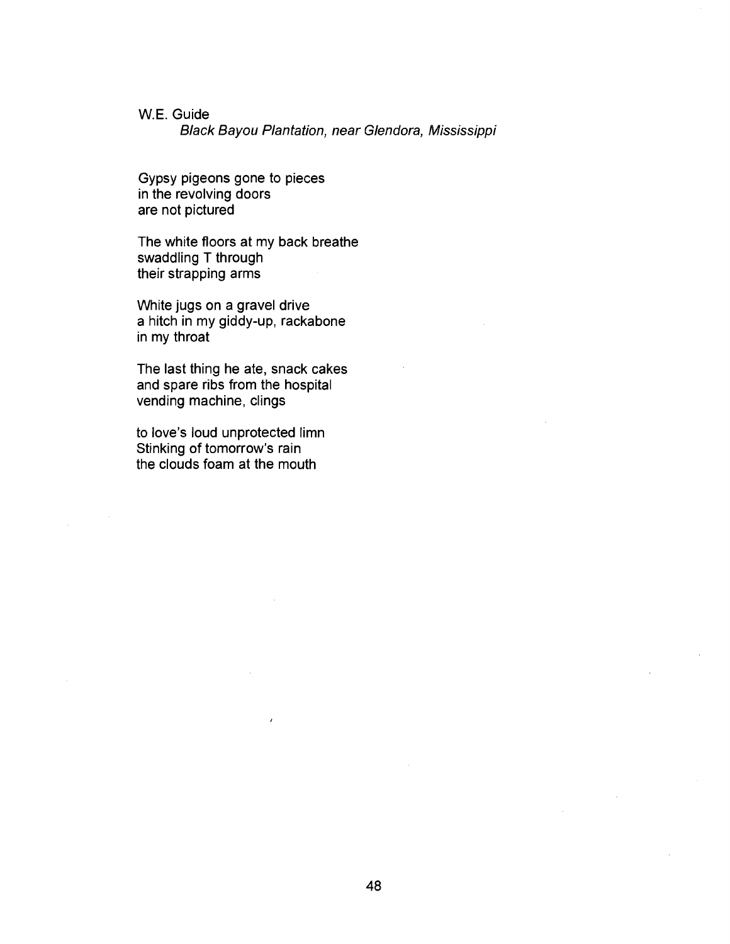## W.E. Guide

Black Bayou Plantation, near Glendora, Mississippi

Gypsy pigeons gone to pieces in the revolving doors are not pictured

The white floors at my back breathe swaddling T through their strapping arms

White jugs on a gravel drive a hitch in my giddy-up, rackabone in my throat

The last thing he ate, snack cakes and spare ribs from the hospital vending machine, clings

to love's loud unprotected limn Stinking of tomorrow's rain the clouds foam at the mouth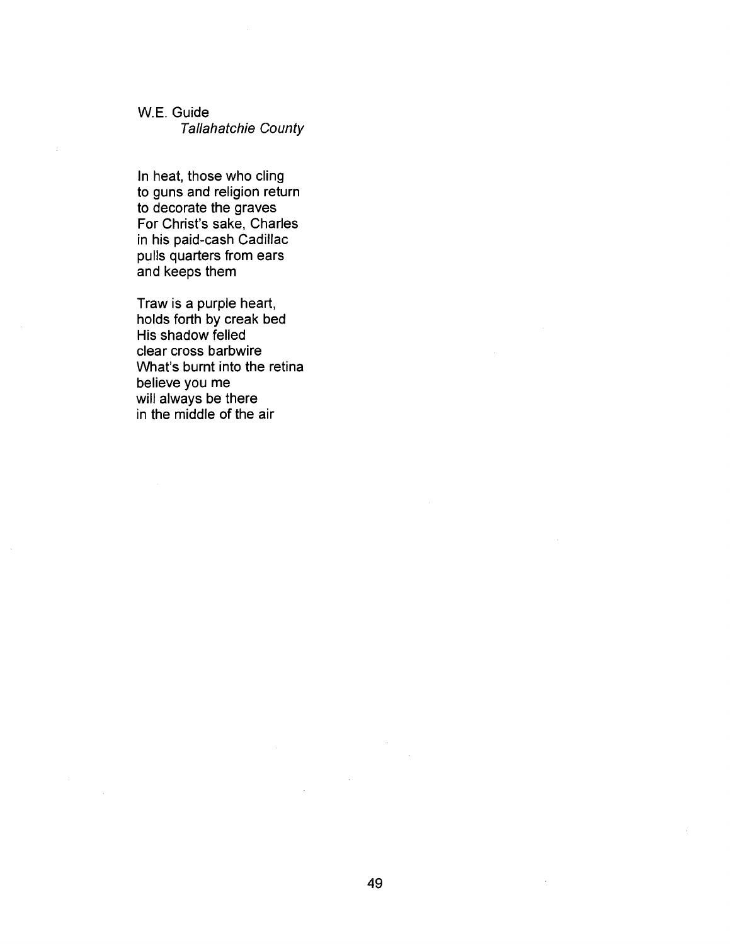## W.E. Guide Tallahatchie County

In heat, those who cling to guns and religion return to decorate the graves For Christ's sake, Charles in his paid-cash Cadillac pulls quarters from ears and keeps them

Traw is a purple heart, holds forth by creak bed His shadow felled clear cross barbwire What's burnt into the retina believe you me will always be there in the middle of the air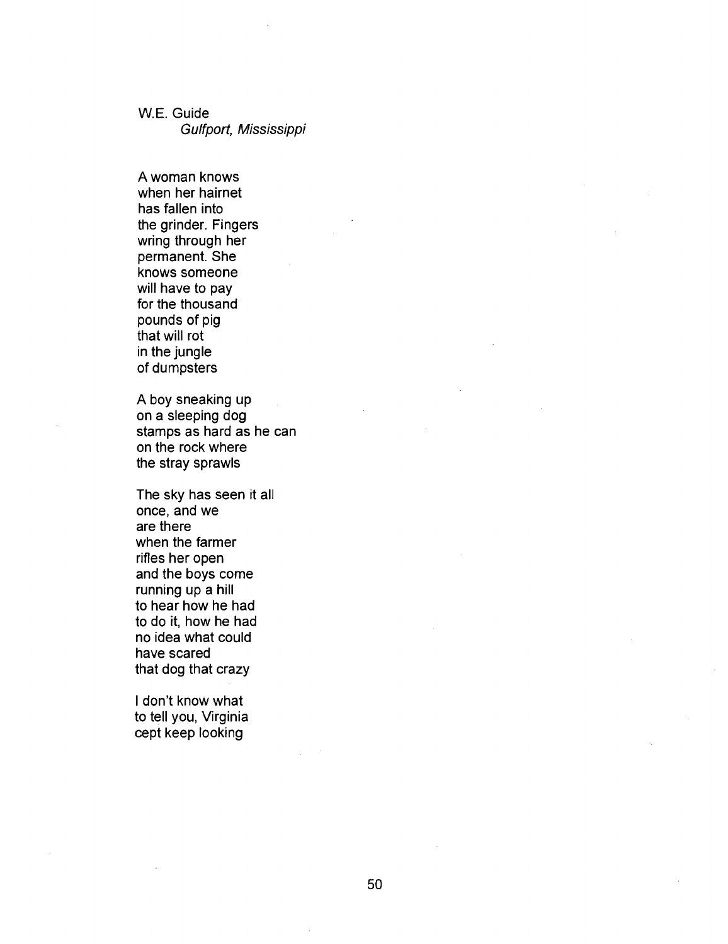W.E. Guide Gulfport, Mississippi

A woman knows when her hairnet has fallen into the grinder. Fingers wring through her permanent. She knows someone will have to pay for the thousand pounds of pig that will rot in the jungle of dumpsters

A boy sneaking up on a sleeping dog stamps as hard as he can on the rock where the stray sprawls

The sky has seen it all once, and we are there when the farmer rifles her open and the boys come running up a hill to hear how he had to do it, how he had no idea what could have scared that dog that crazy

I don't know what to tell you, Virginia cept keep looking